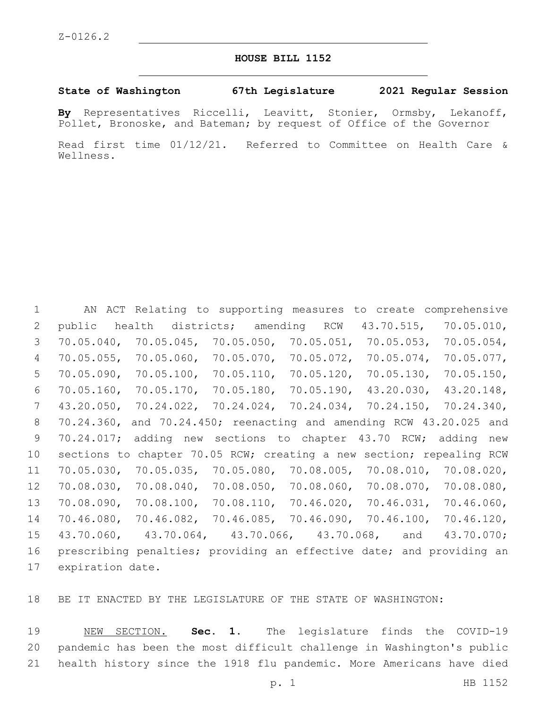## **HOUSE BILL 1152**

## **State of Washington 67th Legislature 2021 Regular Session**

**By** Representatives Riccelli, Leavitt, Stonier, Ormsby, Lekanoff, Pollet, Bronoske, and Bateman; by request of Office of the Governor

Read first time 01/12/21. Referred to Committee on Health Care & Wellness.

 AN ACT Relating to supporting measures to create comprehensive public health districts; amending RCW 43.70.515, 70.05.010, 70.05.040, 70.05.045, 70.05.050, 70.05.051, 70.05.053, 70.05.054, 70.05.055, 70.05.060, 70.05.070, 70.05.072, 70.05.074, 70.05.077, 70.05.090, 70.05.100, 70.05.110, 70.05.120, 70.05.130, 70.05.150, 70.05.160, 70.05.170, 70.05.180, 70.05.190, 43.20.030, 43.20.148, 43.20.050, 70.24.022, 70.24.024, 70.24.034, 70.24.150, 70.24.340, 70.24.360, and 70.24.450; reenacting and amending RCW 43.20.025 and 70.24.017; adding new sections to chapter 43.70 RCW; adding new sections to chapter 70.05 RCW; creating a new section; repealing RCW 70.05.030, 70.05.035, 70.05.080, 70.08.005, 70.08.010, 70.08.020, 70.08.030, 70.08.040, 70.08.050, 70.08.060, 70.08.070, 70.08.080, 70.08.090, 70.08.100, 70.08.110, 70.46.020, 70.46.031, 70.46.060, 70.46.080, 70.46.082, 70.46.085, 70.46.090, 70.46.100, 70.46.120, 43.70.060, 43.70.064, 43.70.066, 43.70.068, and 43.70.070; prescribing penalties; providing an effective date; and providing an 17 expiration date.

BE IT ENACTED BY THE LEGISLATURE OF THE STATE OF WASHINGTON:

 NEW SECTION. **Sec. 1.** The legislature finds the COVID-19 pandemic has been the most difficult challenge in Washington's public health history since the 1918 flu pandemic. More Americans have died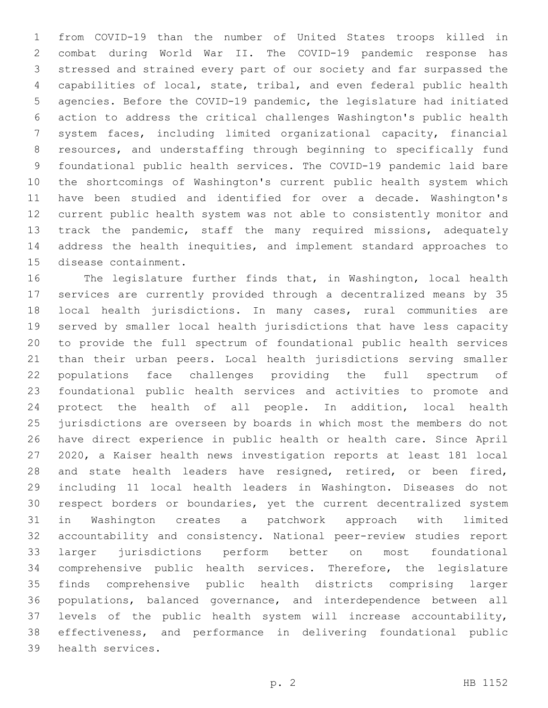from COVID-19 than the number of United States troops killed in combat during World War II. The COVID-19 pandemic response has stressed and strained every part of our society and far surpassed the capabilities of local, state, tribal, and even federal public health agencies. Before the COVID-19 pandemic, the legislature had initiated action to address the critical challenges Washington's public health system faces, including limited organizational capacity, financial resources, and understaffing through beginning to specifically fund foundational public health services. The COVID-19 pandemic laid bare the shortcomings of Washington's current public health system which have been studied and identified for over a decade. Washington's current public health system was not able to consistently monitor and track the pandemic, staff the many required missions, adequately address the health inequities, and implement standard approaches to 15 disease containment.

 The legislature further finds that, in Washington, local health services are currently provided through a decentralized means by 35 local health jurisdictions. In many cases, rural communities are served by smaller local health jurisdictions that have less capacity to provide the full spectrum of foundational public health services than their urban peers. Local health jurisdictions serving smaller populations face challenges providing the full spectrum of foundational public health services and activities to promote and protect the health of all people. In addition, local health jurisdictions are overseen by boards in which most the members do not have direct experience in public health or health care. Since April 2020, a Kaiser health news investigation reports at least 181 local and state health leaders have resigned, retired, or been fired, including 11 local health leaders in Washington. Diseases do not respect borders or boundaries, yet the current decentralized system in Washington creates a patchwork approach with limited accountability and consistency. National peer-review studies report larger jurisdictions perform better on most foundational comprehensive public health services. Therefore, the legislature finds comprehensive public health districts comprising larger populations, balanced governance, and interdependence between all levels of the public health system will increase accountability, effectiveness, and performance in delivering foundational public 39 health services.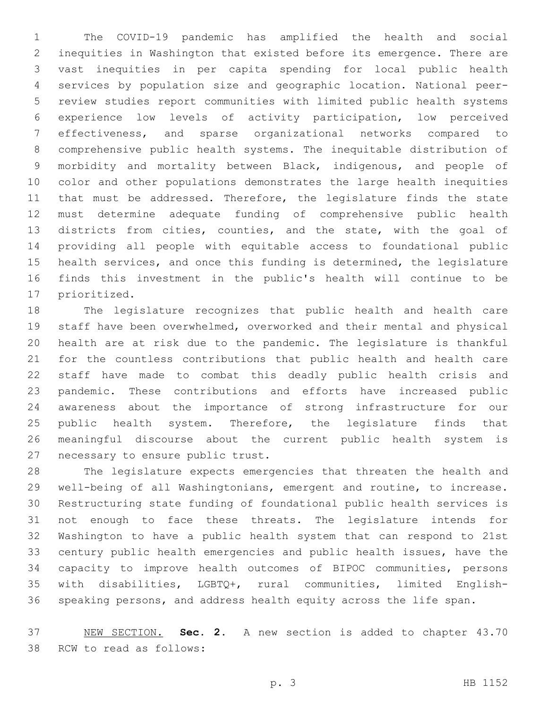The COVID-19 pandemic has amplified the health and social inequities in Washington that existed before its emergence. There are vast inequities in per capita spending for local public health services by population size and geographic location. National peer- review studies report communities with limited public health systems experience low levels of activity participation, low perceived effectiveness, and sparse organizational networks compared to comprehensive public health systems. The inequitable distribution of morbidity and mortality between Black, indigenous, and people of color and other populations demonstrates the large health inequities that must be addressed. Therefore, the legislature finds the state must determine adequate funding of comprehensive public health districts from cities, counties, and the state, with the goal of providing all people with equitable access to foundational public health services, and once this funding is determined, the legislature finds this investment in the public's health will continue to be 17 prioritized.

 The legislature recognizes that public health and health care staff have been overwhelmed, overworked and their mental and physical health are at risk due to the pandemic. The legislature is thankful for the countless contributions that public health and health care staff have made to combat this deadly public health crisis and pandemic. These contributions and efforts have increased public awareness about the importance of strong infrastructure for our 25 public health system. Therefore, the legislature finds that meaningful discourse about the current public health system is 27 necessary to ensure public trust.

 The legislature expects emergencies that threaten the health and well-being of all Washingtonians, emergent and routine, to increase. Restructuring state funding of foundational public health services is not enough to face these threats. The legislature intends for Washington to have a public health system that can respond to 21st century public health emergencies and public health issues, have the capacity to improve health outcomes of BIPOC communities, persons with disabilities, LGBTQ+, rural communities, limited English-speaking persons, and address health equity across the life span.

 NEW SECTION. **Sec. 2.** A new section is added to chapter 43.70 38 RCW to read as follows: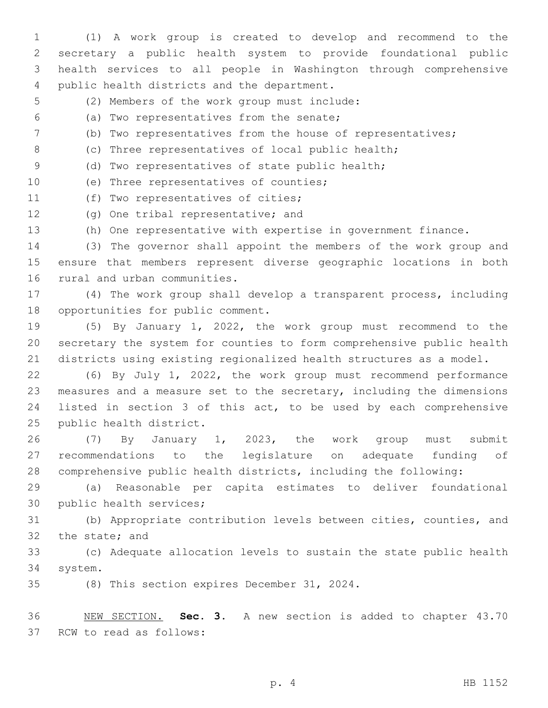(1) A work group is created to develop and recommend to the secretary a public health system to provide foundational public health services to all people in Washington through comprehensive 4 public health districts and the department.

- 5 (2) Members of the work group must include:
- (a) Two representatives from the senate;6
- 7 (b) Two representatives from the house of representatives;
- 8 (c) Three representatives of local public health;
- 9 (d) Two representatives of state public health;
- 10 (e) Three representatives of counties;

11 (f) Two representatives of cities;

- 12 (g) One tribal representative; and
- 13 (h) One representative with expertise in government finance.

14 (3) The governor shall appoint the members of the work group and 15 ensure that members represent diverse geographic locations in both 16 rural and urban communities.

17 (4) The work group shall develop a transparent process, including 18 opportunities for public comment.

19 (5) By January 1, 2022, the work group must recommend to the 20 secretary the system for counties to form comprehensive public health 21 districts using existing regionalized health structures as a model.

 (6) By July 1, 2022, the work group must recommend performance measures and a measure set to the secretary, including the dimensions listed in section 3 of this act, to be used by each comprehensive 25 public health district.

26 (7) By January 1, 2023, the work group must submit 27 recommendations to the legislature on adequate funding of 28 comprehensive public health districts, including the following:

29 (a) Reasonable per capita estimates to deliver foundational 30 public health services;

31 (b) Appropriate contribution levels between cities, counties, and 32 the state; and

33 (c) Adequate allocation levels to sustain the state public health system.34

35 (8) This section expires December 31, 2024.

36 NEW SECTION. **Sec. 3.** A new section is added to chapter 43.70 37 RCW to read as follows: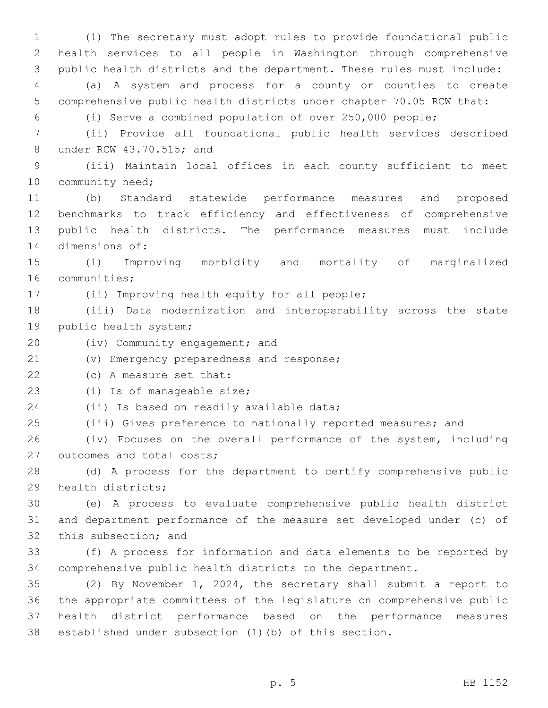(1) The secretary must adopt rules to provide foundational public health services to all people in Washington through comprehensive public health districts and the department. These rules must include: (a) A system and process for a county or counties to create comprehensive public health districts under chapter 70.05 RCW that: (i) Serve a combined population of over 250,000 people; (ii) Provide all foundational public health services described 8 under RCW 43.70.515; and (iii) Maintain local offices in each county sufficient to meet 10 community need; (b) Standard statewide performance measures and proposed benchmarks to track efficiency and effectiveness of comprehensive public health districts. The performance measures must include 14 dimensions of: (i) Improving morbidity and mortality of marginalized 16 communities; 17 (ii) Improving health equity for all people; (iii) Data modernization and interoperability across the state 19 public health system; 20 (iv) Community engagement; and 21 (v) Emergency preparedness and response; 22 (c) A measure set that: 23 (i) Is of manageable size; 24 (ii) Is based on readily available data; (iii) Gives preference to nationally reported measures; and (iv) Focuses on the overall performance of the system, including 27 outcomes and total costs; (d) A process for the department to certify comprehensive public 29 health districts; (e) A process to evaluate comprehensive public health district and department performance of the measure set developed under (c) of 32 this subsection; and (f) A process for information and data elements to be reported by comprehensive public health districts to the department. (2) By November 1, 2024, the secretary shall submit a report to the appropriate committees of the legislature on comprehensive public health district performance based on the performance measures established under subsection (1)(b) of this section.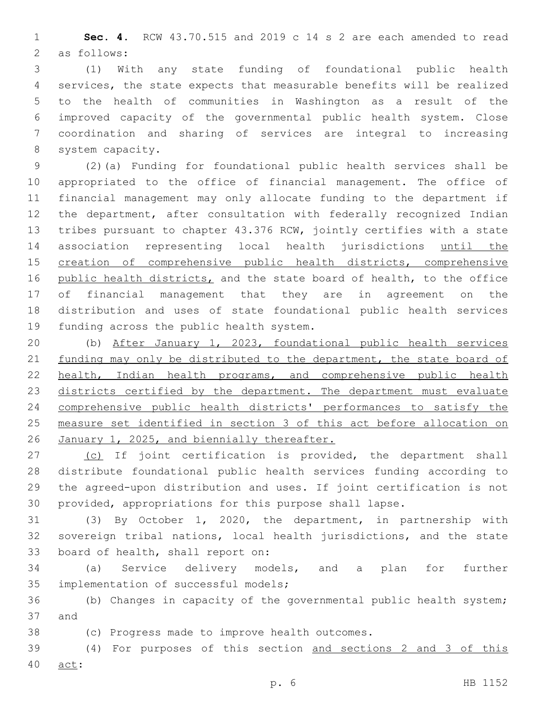**Sec. 4.** RCW 43.70.515 and 2019 c 14 s 2 are each amended to read 2 as follows:

 (1) With any state funding of foundational public health services, the state expects that measurable benefits will be realized to the health of communities in Washington as a result of the improved capacity of the governmental public health system. Close coordination and sharing of services are integral to increasing 8 system capacity.

 (2)(a) Funding for foundational public health services shall be appropriated to the office of financial management. The office of financial management may only allocate funding to the department if the department, after consultation with federally recognized Indian tribes pursuant to chapter 43.376 RCW, jointly certifies with a state association representing local health jurisdictions until the 15 creation of comprehensive public health districts, comprehensive 16 public health districts, and the state board of health, to the office of financial management that they are in agreement on the distribution and uses of state foundational public health services 19 funding across the public health system.

 (b) After January 1, 2023, foundational public health services 21 funding may only be distributed to the department, the state board of health, Indian health programs, and comprehensive public health 23 districts certified by the department. The department must evaluate comprehensive public health districts' performances to satisfy the measure set identified in section 3 of this act before allocation on 26 January 1, 2025, and biennially thereafter.

27 (c) If joint certification is provided, the department shall distribute foundational public health services funding according to the agreed-upon distribution and uses. If joint certification is not provided, appropriations for this purpose shall lapse.

 (3) By October 1, 2020, the department, in partnership with sovereign tribal nations, local health jurisdictions, and the state 33 board of health, shall report on:

 (a) Service delivery models, and a plan for further 35 implementation of successful models;

 (b) Changes in capacity of the governmental public health system; 37 and

38 (c) Progress made to improve health outcomes.

 (4) For purposes of this section and sections 2 and 3 of this 40 act: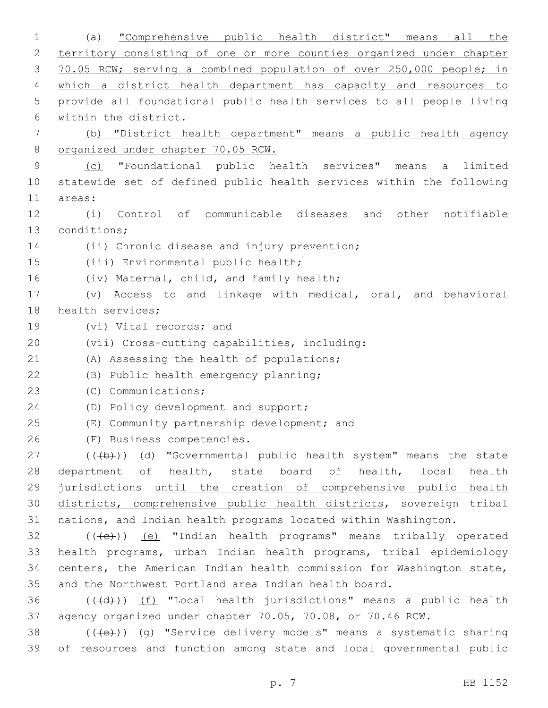1 (a) "Comprehensive public health district" means all the 2 territory consisting of one or more counties organized under chapter 3 70.05 RCW; serving a combined population of over 250,000 people; in 4 which a district health department has capacity and resources to 5 provide all foundational public health services to all people living 6 within the district. 7 (b) "District health department" means a public health agency 8 organized under chapter 70.05 RCW. 9 (c) "Foundational public health services" means a limited 10 statewide set of defined public health services within the following 11 areas: 12 (i) Control of communicable diseases and other notifiable 13 conditions; 14 (ii) Chronic disease and injury prevention; 15 (iii) Environmental public health; 16 (iv) Maternal, child, and family health; 17 (v) Access to and linkage with medical, oral, and behavioral 18 health services; 19 (vi) Vital records; and (vii) Cross-cutting capabilities, including:20 21 (A) Assessing the health of populations; (B) Public health emergency planning;22 23 (C) Communications; 24 (D) Policy development and support; (E) Community partnership development; and 26 (F) Business competencies. 27 (((b)) (d) "Governmental public health system" means the state 28 department of health, state board of health, local health 29 jurisdictions until the creation of comprehensive public health 30 districts, comprehensive public health districts, sovereign tribal 31 nations, and Indian health programs located within Washington.  $32$  (( $\left(\frac{1}{10}\right)$ ) (e) "Indian health programs" means tribally operated 33 health programs, urban Indian health programs, tribal epidemiology 34 centers, the American Indian health commission for Washington state, 35 and the Northwest Portland area Indian health board.  $36$  (( $\left(\frac{1}{4}+\right)$ ) (f) "Local health jurisdictions" means a public health 37 agency organized under chapter 70.05, 70.08, or 70.46 RCW. 38 (((e)) (g) "Service delivery models" means a systematic sharing 39 of resources and function among state and local governmental public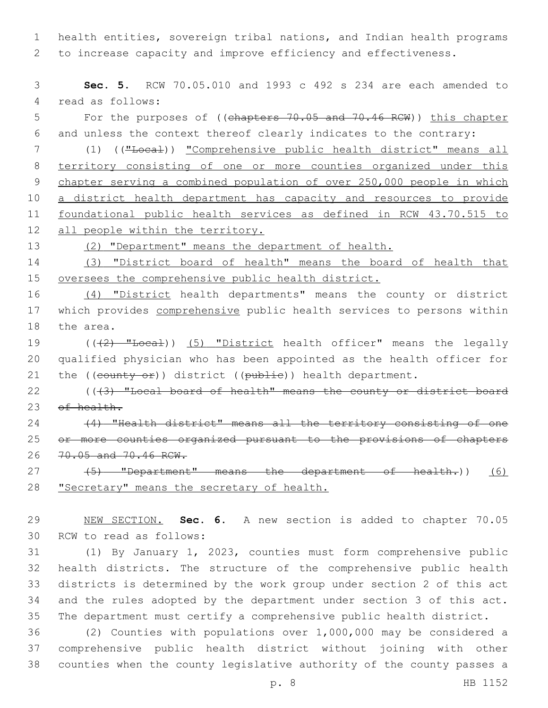1 health entities, sovereign tribal nations, and Indian health programs 2 to increase capacity and improve efficiency and effectiveness.

3 **Sec. 5.** RCW 70.05.010 and 1993 c 492 s 234 are each amended to 4 read as follows:

5 For the purposes of ((chapters 70.05 and 70.46 RCW)) this chapter 6 and unless the context thereof clearly indicates to the contrary:

7 (1) (("Local)) "Comprehensive public health district" means all 8 territory consisting of one or more counties organized under this 9 chapter serving a combined population of over 250,000 people in which 10 a district health department has capacity and resources to provide 11 foundational public health services as defined in RCW 43.70.515 to 12 all people within the territory.

13 (2) "Department" means the department of health.

14 (3) "District board of health" means the board of health that 15 oversees the comprehensive public health district.

16 (4) "District health departments" means the county or district 17 which provides comprehensive public health services to persons within 18 the area.

19 (((2) "Local)) (5) "District health officer" means the legally 20 qualified physician who has been appointed as the health officer for 21 the  $((\text{county or})$  district  $((\text{public}))$  health department.

22 ((43) "Local board of health" means the county or district board 23 of health.

24 (4) "Health district" means all the territory consisting of one 25 or more counties organized pursuant to the provisions of chapters 26 70.05 and 70.46 RCW.

27 (5) "Department" means the department of health.)) (6) 28 "Secretary" means the secretary of health.

29 NEW SECTION. **Sec. 6.** A new section is added to chapter 70.05 30 RCW to read as follows:

 (1) By January 1, 2023, counties must form comprehensive public health districts. The structure of the comprehensive public health districts is determined by the work group under section 2 of this act and the rules adopted by the department under section 3 of this act. The department must certify a comprehensive public health district.

36 (2) Counties with populations over 1,000,000 may be considered a 37 comprehensive public health district without joining with other 38 counties when the county legislative authority of the county passes a

p. 8 HB 1152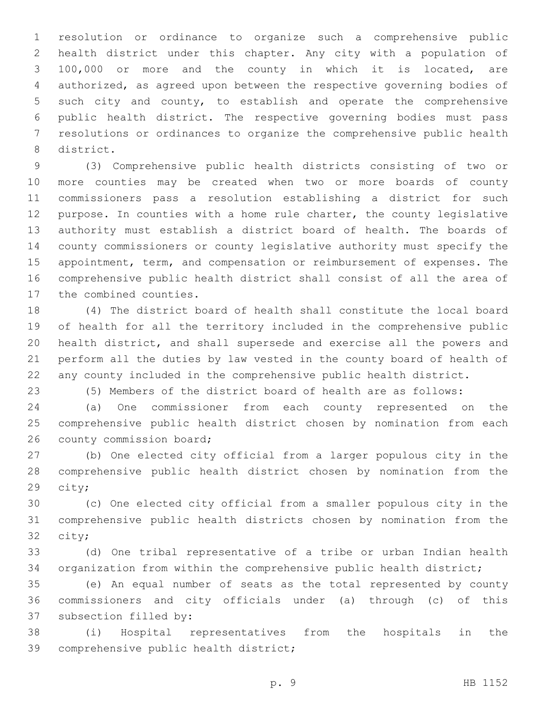resolution or ordinance to organize such a comprehensive public health district under this chapter. Any city with a population of 100,000 or more and the county in which it is located, are authorized, as agreed upon between the respective governing bodies of such city and county, to establish and operate the comprehensive public health district. The respective governing bodies must pass resolutions or ordinances to organize the comprehensive public health 8 district.

 (3) Comprehensive public health districts consisting of two or more counties may be created when two or more boards of county commissioners pass a resolution establishing a district for such purpose. In counties with a home rule charter, the county legislative authority must establish a district board of health. The boards of county commissioners or county legislative authority must specify the appointment, term, and compensation or reimbursement of expenses. The comprehensive public health district shall consist of all the area of 17 the combined counties.

 (4) The district board of health shall constitute the local board of health for all the territory included in the comprehensive public health district, and shall supersede and exercise all the powers and perform all the duties by law vested in the county board of health of any county included in the comprehensive public health district.

(5) Members of the district board of health are as follows:

 (a) One commissioner from each county represented on the comprehensive public health district chosen by nomination from each 26 county commission board;

 (b) One elected city official from a larger populous city in the comprehensive public health district chosen by nomination from the 29 city;

 (c) One elected city official from a smaller populous city in the comprehensive public health districts chosen by nomination from the 32 city;

 (d) One tribal representative of a tribe or urban Indian health organization from within the comprehensive public health district;

 (e) An equal number of seats as the total represented by county commissioners and city officials under (a) through (c) of this 37 subsection filled by:

 (i) Hospital representatives from the hospitals in the 39 comprehensive public health district;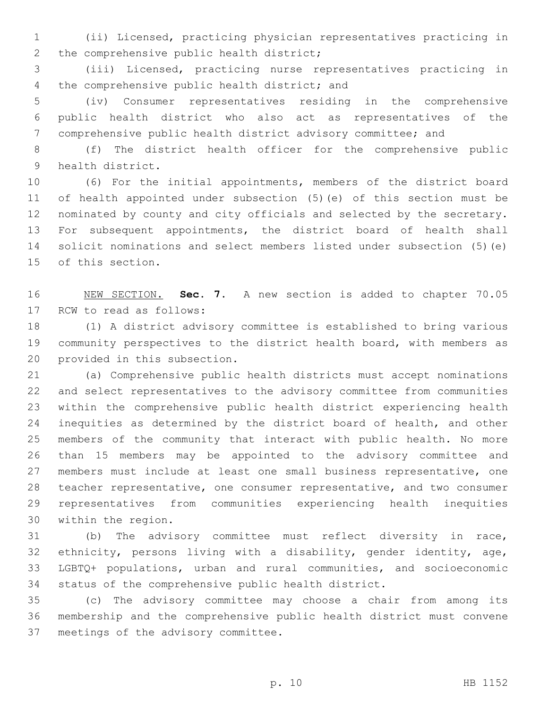(ii) Licensed, practicing physician representatives practicing in 2 the comprehensive public health district;

 (iii) Licensed, practicing nurse representatives practicing in 4 the comprehensive public health district; and

 (iv) Consumer representatives residing in the comprehensive public health district who also act as representatives of the comprehensive public health district advisory committee; and

 (f) The district health officer for the comprehensive public 9 health district.

 (6) For the initial appointments, members of the district board of health appointed under subsection (5)(e) of this section must be nominated by county and city officials and selected by the secretary. For subsequent appointments, the district board of health shall solicit nominations and select members listed under subsection (5)(e) 15 of this section.

 NEW SECTION. **Sec. 7.** A new section is added to chapter 70.05 17 RCW to read as follows:

 (1) A district advisory committee is established to bring various community perspectives to the district health board, with members as 20 provided in this subsection.

 (a) Comprehensive public health districts must accept nominations and select representatives to the advisory committee from communities within the comprehensive public health district experiencing health 24 inequities as determined by the district board of health, and other members of the community that interact with public health. No more than 15 members may be appointed to the advisory committee and members must include at least one small business representative, one teacher representative, one consumer representative, and two consumer representatives from communities experiencing health inequities 30 within the region.

 (b) The advisory committee must reflect diversity in race, ethnicity, persons living with a disability, gender identity, age, LGBTQ+ populations, urban and rural communities, and socioeconomic status of the comprehensive public health district.

 (c) The advisory committee may choose a chair from among its membership and the comprehensive public health district must convene 37 meetings of the advisory committee.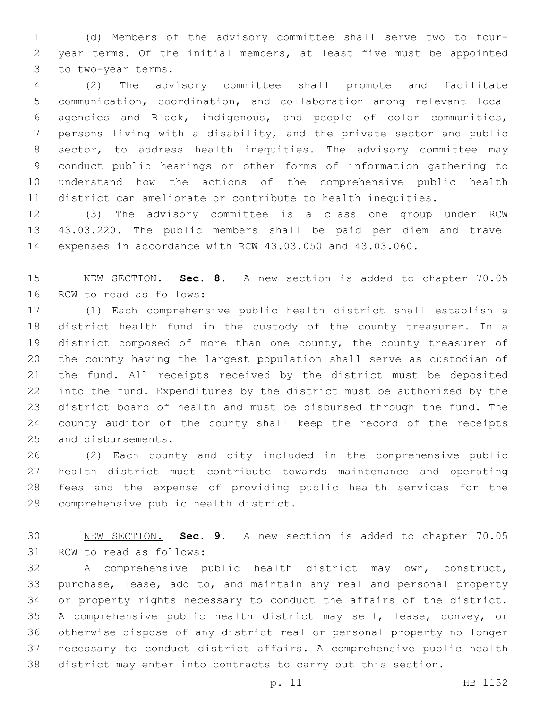(d) Members of the advisory committee shall serve two to four- year terms. Of the initial members, at least five must be appointed 3 to two-year terms.

 (2) The advisory committee shall promote and facilitate communication, coordination, and collaboration among relevant local agencies and Black, indigenous, and people of color communities, persons living with a disability, and the private sector and public sector, to address health inequities. The advisory committee may conduct public hearings or other forms of information gathering to understand how the actions of the comprehensive public health district can ameliorate or contribute to health inequities.

 (3) The advisory committee is a class one group under RCW 43.03.220. The public members shall be paid per diem and travel expenses in accordance with RCW 43.03.050 and 43.03.060.

 NEW SECTION. **Sec. 8.** A new section is added to chapter 70.05 16 RCW to read as follows:

 (1) Each comprehensive public health district shall establish a district health fund in the custody of the county treasurer. In a district composed of more than one county, the county treasurer of the county having the largest population shall serve as custodian of the fund. All receipts received by the district must be deposited into the fund. Expenditures by the district must be authorized by the district board of health and must be disbursed through the fund. The county auditor of the county shall keep the record of the receipts 25 and disbursements.

 (2) Each county and city included in the comprehensive public health district must contribute towards maintenance and operating fees and the expense of providing public health services for the 29 comprehensive public health district.

 NEW SECTION. **Sec. 9.** A new section is added to chapter 70.05 31 RCW to read as follows:

 A comprehensive public health district may own, construct, purchase, lease, add to, and maintain any real and personal property or property rights necessary to conduct the affairs of the district. A comprehensive public health district may sell, lease, convey, or otherwise dispose of any district real or personal property no longer necessary to conduct district affairs. A comprehensive public health district may enter into contracts to carry out this section.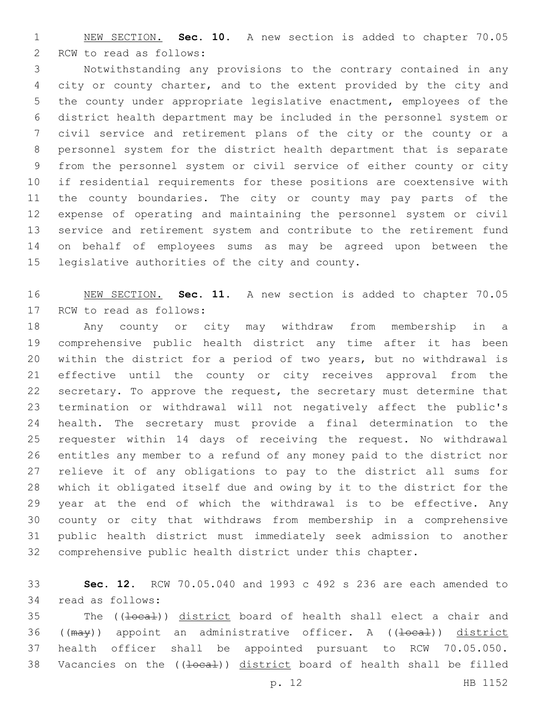NEW SECTION. **Sec. 10.** A new section is added to chapter 70.05 2 RCW to read as follows:

 Notwithstanding any provisions to the contrary contained in any city or county charter, and to the extent provided by the city and the county under appropriate legislative enactment, employees of the district health department may be included in the personnel system or civil service and retirement plans of the city or the county or a personnel system for the district health department that is separate from the personnel system or civil service of either county or city if residential requirements for these positions are coextensive with the county boundaries. The city or county may pay parts of the expense of operating and maintaining the personnel system or civil service and retirement system and contribute to the retirement fund on behalf of employees sums as may be agreed upon between the 15 legislative authorities of the city and county.

 NEW SECTION. **Sec. 11.** A new section is added to chapter 70.05 17 RCW to read as follows:

 Any county or city may withdraw from membership in a comprehensive public health district any time after it has been within the district for a period of two years, but no withdrawal is effective until the county or city receives approval from the secretary. To approve the request, the secretary must determine that termination or withdrawal will not negatively affect the public's health. The secretary must provide a final determination to the requester within 14 days of receiving the request. No withdrawal entitles any member to a refund of any money paid to the district nor relieve it of any obligations to pay to the district all sums for which it obligated itself due and owing by it to the district for the year at the end of which the withdrawal is to be effective. Any county or city that withdraws from membership in a comprehensive public health district must immediately seek admission to another comprehensive public health district under this chapter.

 **Sec. 12.** RCW 70.05.040 and 1993 c 492 s 236 are each amended to 34 read as follows:

35 The ((<del>local</del>)) district board of health shall elect a chair and 36 ((may)) appoint an administrative officer. A ((<del>local</del>)) district health officer shall be appointed pursuant to RCW 70.05.050. 38 Vacancies on the ((local)) district board of health shall be filled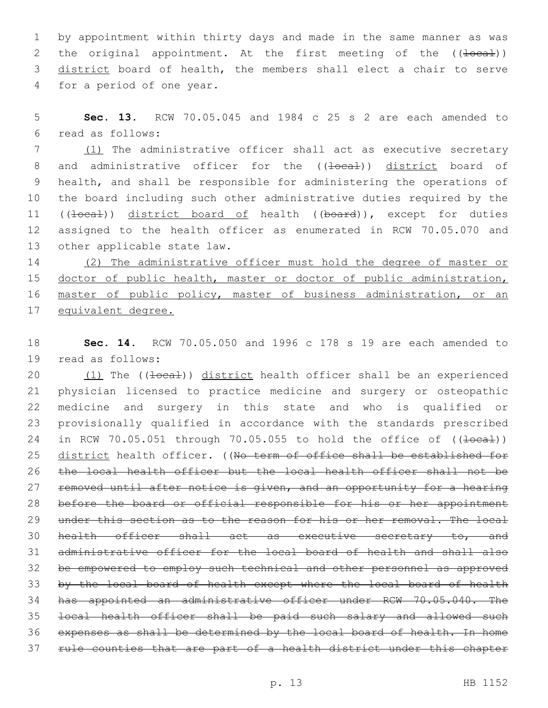1 by appointment within thirty days and made in the same manner as was 2 the original appointment. At the first meeting of the  $((\text{local}))$ 3 district board of health, the members shall elect a chair to serve 4 for a period of one year.

5 **Sec. 13.** RCW 70.05.045 and 1984 c 25 s 2 are each amended to read as follows:6

7 (1) The administrative officer shall act as executive secretary 8 and administrative officer for the ((<del>local</del>)) district board of 9 health, and shall be responsible for administering the operations of 10 the board including such other administrative duties required by the 11 ((local)) district board of health ((board)), except for duties 12 assigned to the health officer as enumerated in RCW 70.05.070 and 13 other applicable state law.

14 (2) The administrative officer must hold the degree of master or 15 doctor of public health, master or doctor of public administration, 16 master of public policy, master of business administration, or an 17 equivalent degree.

18 **Sec. 14.** RCW 70.05.050 and 1996 c 178 s 19 are each amended to 19 read as follows:

20 (1) The (( $\frac{1}{10}$ ) district health officer shall be an experienced physician licensed to practice medicine and surgery or osteopathic medicine and surgery in this state and who is qualified or provisionally qualified in accordance with the standards prescribed 24 in RCW 70.05.051 through 70.05.055 to hold the office of ((<del>local</del>)) 25 district health officer. ((No term of office shall be established for the local health officer but the local health officer shall not be 27 removed until after notice is given, and an opportunity for a hearing 28 before the board or official responsible for his or her appointment 29 under this section as to the reason for his or her removal. The local 30 health officer shall act as executive secretary to, and administrative officer for the local board of health and shall also be empowered to employ such technical and other personnel as approved by the local board of health except where the local board of health has appointed an administrative officer under RCW 70.05.040. The local health officer shall be paid such salary and allowed such expenses as shall be determined by the local board of health. In home rule counties that are part of a health district under this chapter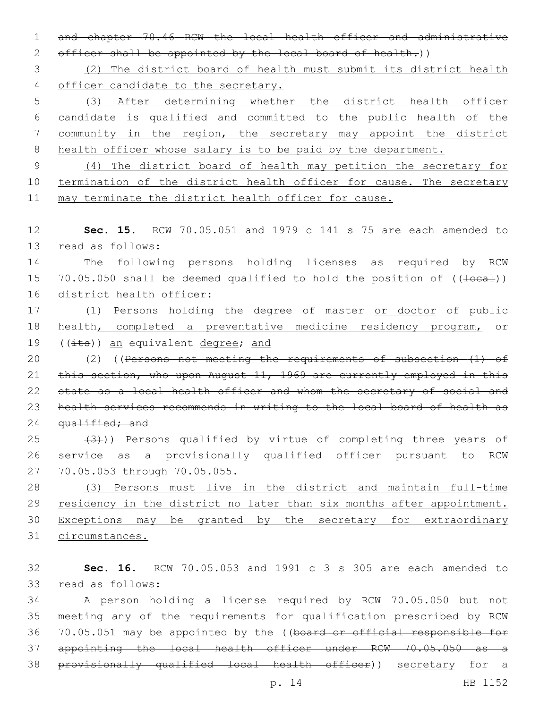1 and chapter 70.46 RCW the local health officer and administrative 2 officer shall be appointed by the local board of health.))

3 (2) The district board of health must submit its district health 4 officer candidate to the secretary.

 (3) After determining whether the district health officer candidate is qualified and committed to the public health of the community in the region, the secretary may appoint the district 8 health officer whose salary is to be paid by the department.

9 (4) The district board of health may petition the secretary for 10 termination of the district health officer for cause. The secretary 11 may terminate the district health officer for cause.

12 **Sec. 15.** RCW 70.05.051 and 1979 c 141 s 75 are each amended to 13 read as follows:

14 The following persons holding licenses as required by RCW 15 70.05.050 shall be deemed qualified to hold the position of ((<del>local</del>)) 16 district health officer:

17 (1) Persons holding the degree of master or doctor of public 18 health, completed a preventative medicine residency program, or 19  $((i$ ts)) an equivalent degree; and

20 (2) ((Persons not meeting the requirements of subsection (1) of 21 this section, who upon August 11, 1969 are currently employed in this 22 state as a local health officer and whom the secretary of social and 23 health services recommends in writing to the local board of health as 24 qualified; and

 $(3)$  (3)) Persons qualified by virtue of completing three years of 26 service as a provisionally qualified officer pursuant to RCW 27 70.05.053 through 70.05.055.

 (3) Persons must live in the district and maintain full-time 29 residency in the district no later than six months after appointment. Exceptions may be granted by the secretary for extraordinary circumstances.

32 **Sec. 16.** RCW 70.05.053 and 1991 c 3 s 305 are each amended to 33 read as follows:

 A person holding a license required by RCW 70.05.050 but not meeting any of the requirements for qualification prescribed by RCW 36 70.05.051 may be appointed by the ((board or official responsible for appointing the local health officer under RCW 70.05.050 as a provisionally qualified local health officer)) secretary for a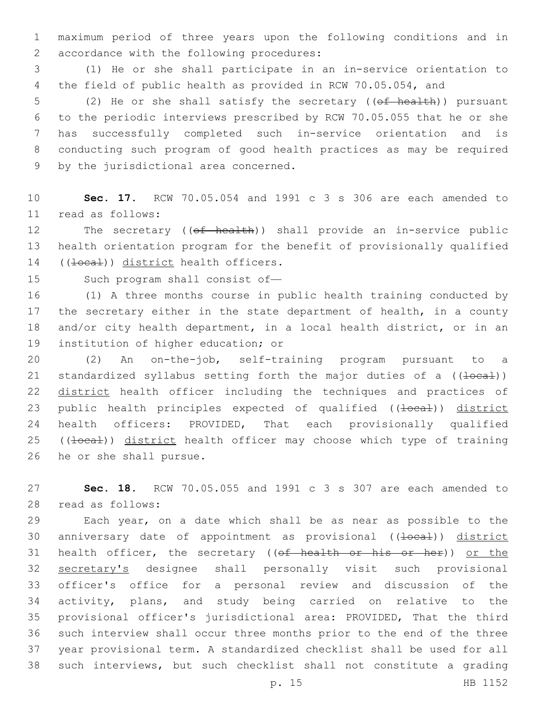1 maximum period of three years upon the following conditions and in 2 accordance with the following procedures:

3 (1) He or she shall participate in an in-service orientation to 4 the field of public health as provided in RCW 70.05.054, and

5 (2) He or she shall satisfy the secretary ((of health)) pursuant 6 to the periodic interviews prescribed by RCW 70.05.055 that he or she 7 has successfully completed such in-service orientation and is 8 conducting such program of good health practices as may be required 9 by the jurisdictional area concerned.

10 **Sec. 17.** RCW 70.05.054 and 1991 c 3 s 306 are each amended to read as follows:11

12 The secretary ((of health)) shall provide an in-service public 13 health orientation program for the benefit of provisionally qualified 14 ((<del>local</del>)) district health officers.

15 Such program shall consist of—

 (1) A three months course in public health training conducted by the secretary either in the state department of health, in a county and/or city health department, in a local health district, or in an 19 institution of higher education; or

20 (2) An on-the-job, self-training program pursuant to a 21 standardized syllabus setting forth the major duties of a  $((\text{local}))$ 22 district health officer including the techniques and practices of 23 public health principles expected of qualified ((local)) district 24 health officers: PROVIDED, That each provisionally qualified 25 ((local)) district health officer may choose which type of training 26 he or she shall pursue.

27 **Sec. 18.** RCW 70.05.055 and 1991 c 3 s 307 are each amended to read as follows:28

 Each year, on a date which shall be as near as possible to the 30 anniversary date of appointment as provisional ((local)) district 31 health officer, the secretary ((of health or his or her)) or the secretary's designee shall personally visit such provisional officer's office for a personal review and discussion of the activity, plans, and study being carried on relative to the provisional officer's jurisdictional area: PROVIDED, That the third such interview shall occur three months prior to the end of the three year provisional term. A standardized checklist shall be used for all such interviews, but such checklist shall not constitute a grading

p. 15 HB 1152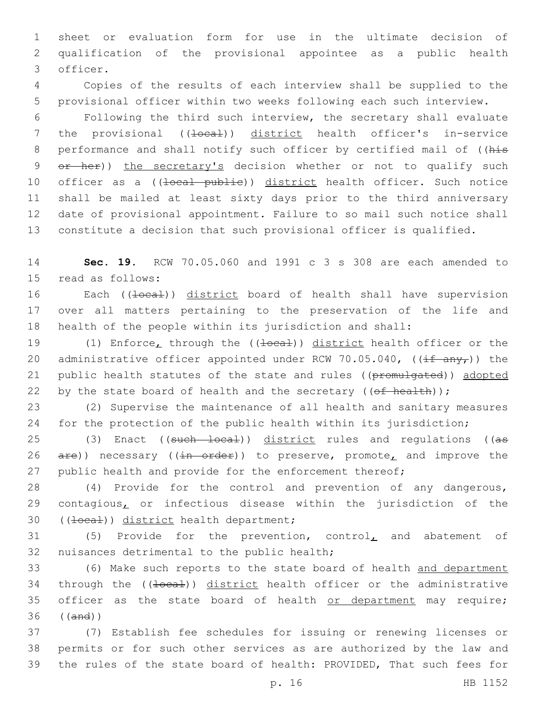1 sheet or evaluation form for use in the ultimate decision of 2 qualification of the provisional appointee as a public health 3 officer.

4 Copies of the results of each interview shall be supplied to the 5 provisional officer within two weeks following each such interview.

6 Following the third such interview, the secretary shall evaluate 7 the provisional ((<del>local</del>)) district health officer's in-service 8 performance and shall notify such officer by certified mail of ((his 9 or her)) the secretary's decision whether or not to qualify such 10 officer as a ((local publie)) district health officer. Such notice 11 shall be mailed at least sixty days prior to the third anniversary 12 date of provisional appointment. Failure to so mail such notice shall 13 constitute a decision that such provisional officer is qualified.

14 **Sec. 19.** RCW 70.05.060 and 1991 c 3 s 308 are each amended to 15 read as follows:

16 Each ((+0ca+)) district board of health shall have supervision 17 over all matters pertaining to the preservation of the life and 18 health of the people within its jurisdiction and shall:

19 (1) Enforce, through the ((<del>local</del>)) district health officer or the 20 administrative officer appointed under RCW 70.05.040,  $(\frac{if \ any \ r}{)}$  the 21 public health statutes of the state and rules ((promulgated)) adopted 22 by the state board of health and the secretary  $((ef - heatth))$ ;

23 (2) Supervise the maintenance of all health and sanitary measures 24 for the protection of the public health within its jurisdiction;

25 (3) Enact ((such local)) district rules and regulations ((as 26  $are)$ ) necessary ((in order)) to preserve, promote, and improve the 27 public health and provide for the enforcement thereof;

28 (4) Provide for the control and prevention of any dangerous, 29 contagious, or infectious disease within the jurisdiction of the 30 ((<del>local</del>)) district health department;

31 (5) Provide for the prevention, control, and abatement of 32 nuisances detrimental to the public health;

33 (6) Make such reports to the state board of health and department 34 through the ((local)) district health officer or the administrative 35 officer as the state board of health or department may require; 36 ((and))

37 (7) Establish fee schedules for issuing or renewing licenses or 38 permits or for such other services as are authorized by the law and 39 the rules of the state board of health: PROVIDED, That such fees for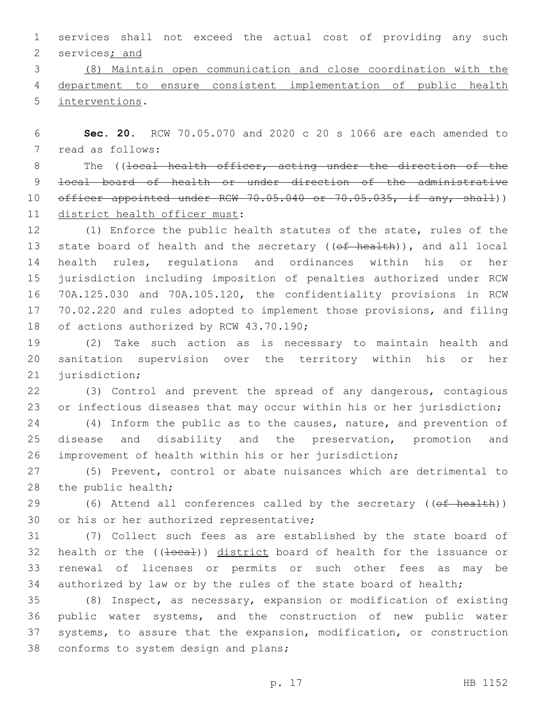1 services shall not exceed the actual cost of providing any such 2 services; and

3 (8) Maintain open communication and close coordination with the 4 department to ensure consistent implementation of public health 5 interventions.

6 **Sec. 20.** RCW 70.05.070 and 2020 c 20 s 1066 are each amended to 7 read as follows:

8 The ((local health officer, acting under the direction of the 9 local board of health or under direction of the administrative 10 officer appointed under RCW 70.05.040 or 70.05.035, if any, shall)) 11 district health officer must:

 (1) Enforce the public health statutes of the state, rules of the 13 state board of health and the secretary ((of health)), and all local health rules, regulations and ordinances within his or her jurisdiction including imposition of penalties authorized under RCW 70A.125.030 and 70A.105.120, the confidentiality provisions in RCW 70.02.220 and rules adopted to implement those provisions, and filing 18 of actions authorized by RCW 43.70.190;

19 (2) Take such action as is necessary to maintain health and 20 sanitation supervision over the territory within his or her 21 jurisdiction;

22 (3) Control and prevent the spread of any dangerous, contagious 23 or infectious diseases that may occur within his or her jurisdiction;

24 (4) Inform the public as to the causes, nature, and prevention of 25 disease and disability and the preservation, promotion and 26 improvement of health within his or her jurisdiction;

27 (5) Prevent, control or abate nuisances which are detrimental to 28 the public health;

29 (6) Attend all conferences called by the secretary ((of health)) 30 or his or her authorized representative;

 (7) Collect such fees as are established by the state board of 32 health or the ((<del>local</del>)) district board of health for the issuance or renewal of licenses or permits or such other fees as may be authorized by law or by the rules of the state board of health;

 (8) Inspect, as necessary, expansion or modification of existing public water systems, and the construction of new public water systems, to assure that the expansion, modification, or construction 38 conforms to system design and plans;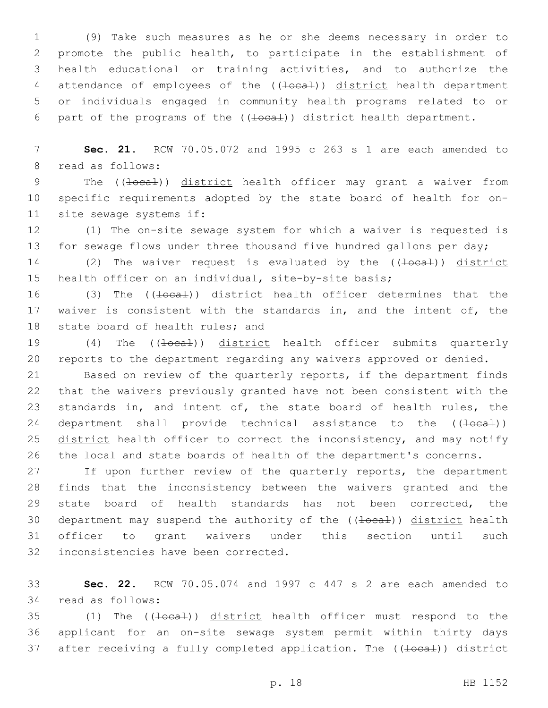(9) Take such measures as he or she deems necessary in order to promote the public health, to participate in the establishment of health educational or training activities, and to authorize the 4 attendance of employees of the ((<del>local</del>)) district health department or individuals engaged in community health programs related to or 6 part of the programs of the  $((\pm \text{ocal}))$  district health department.

7 **Sec. 21.** RCW 70.05.072 and 1995 c 263 s 1 are each amended to 8 read as follows:

9 The ((<del>local</del>)) district health officer may grant a waiver from 10 specific requirements adopted by the state board of health for on-11 site sewage systems if:

12 (1) The on-site sewage system for which a waiver is requested is 13 for sewage flows under three thousand five hundred gallons per day;

14 (2) The waiver request is evaluated by the ((<del>local</del>)) district 15 health officer on an individual, site-by-site basis;

16 (3) The ((<del>local</del>)) district health officer determines that the 17 waiver is consistent with the standards in, and the intent of, the 18 state board of health rules; and

19 (4) The ((<del>local</del>)) district health officer submits quarterly 20 reports to the department regarding any waivers approved or denied.

 Based on review of the quarterly reports, if the department finds that the waivers previously granted have not been consistent with the standards in, and intent of, the state board of health rules, the 24 department shall provide technical assistance to the  $((\pm \text{ocat}))$ 25 district health officer to correct the inconsistency, and may notify the local and state boards of health of the department's concerns.

27 If upon further review of the quarterly reports, the department 28 finds that the inconsistency between the waivers granted and the 29 state board of health standards has not been corrected, the 30 department may suspend the authority of the ((Hocal)) district health 31 officer to grant waivers under this section until such 32 inconsistencies have been corrected.

33 **Sec. 22.** RCW 70.05.074 and 1997 c 447 s 2 are each amended to 34 read as follows:

35 (1) The ((<del>local</del>)) district health officer must respond to the 36 applicant for an on-site sewage system permit within thirty days 37 after receiving a fully completed application. The ((local)) district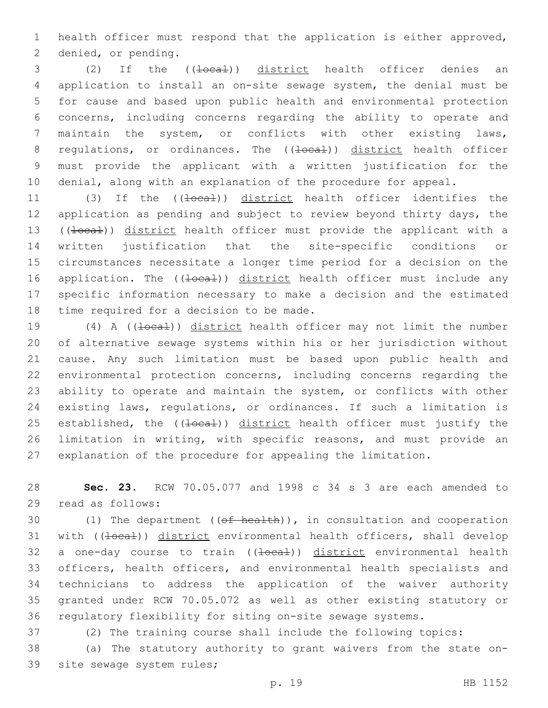health officer must respond that the application is either approved, 2 denied, or pending.

3 (2) If the ((<del>local</del>)) district health officer denies an application to install an on-site sewage system, the denial must be for cause and based upon public health and environmental protection concerns, including concerns regarding the ability to operate and maintain the system, or conflicts with other existing laws, 8 regulations, or ordinances. The ((<del>local</del>)) district health officer must provide the applicant with a written justification for the denial, along with an explanation of the procedure for appeal.

11 (3) If the ((<del>local</del>)) district health officer identifies the application as pending and subject to review beyond thirty days, the 13 ((local)) district health officer must provide the applicant with a written justification that the site-specific conditions or circumstances necessitate a longer time period for a decision on the 16 application. The ((local)) district health officer must include any specific information necessary to make a decision and the estimated 18 time required for a decision to be made.

19 (4) A ((<del>local</del>)) district health officer may not limit the number of alternative sewage systems within his or her jurisdiction without cause. Any such limitation must be based upon public health and environmental protection concerns, including concerns regarding the ability to operate and maintain the system, or conflicts with other existing laws, regulations, or ordinances. If such a limitation is 25 established, the ((local)) district health officer must justify the limitation in writing, with specific reasons, and must provide an explanation of the procedure for appealing the limitation.

 **Sec. 23.** RCW 70.05.077 and 1998 c 34 s 3 are each amended to 29 read as follows:

 $(1)$  The department  $((of heatth))$ , in consultation and cooperation 31 with ((local)) district environmental health officers, shall develop 32 a one-day course to train ((<del>local</del>)) district environmental health officers, health officers, and environmental health specialists and technicians to address the application of the waiver authority granted under RCW 70.05.072 as well as other existing statutory or regulatory flexibility for siting on-site sewage systems.

(2) The training course shall include the following topics:

 (a) The statutory authority to grant waivers from the state on-39 site sewage system rules;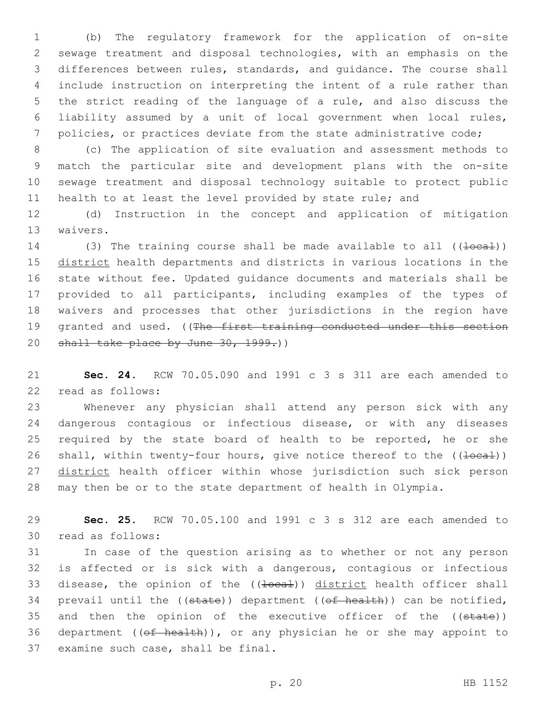(b) The regulatory framework for the application of on-site sewage treatment and disposal technologies, with an emphasis on the differences between rules, standards, and guidance. The course shall include instruction on interpreting the intent of a rule rather than the strict reading of the language of a rule, and also discuss the liability assumed by a unit of local government when local rules, policies, or practices deviate from the state administrative code;

 (c) The application of site evaluation and assessment methods to match the particular site and development plans with the on-site sewage treatment and disposal technology suitable to protect public 11 health to at least the level provided by state rule; and

12 (d) Instruction in the concept and application of mitigation 13 waivers.

14 (3) The training course shall be made available to all  $((\text{1}oca\text{1}))$ 15 district health departments and districts in various locations in the 16 state without fee. Updated guidance documents and materials shall be 17 provided to all participants, including examples of the types of 18 waivers and processes that other jurisdictions in the region have 19 granted and used. ((The first training conducted under this section 20 shall take place by June 30, 1999.))

21 **Sec. 24.** RCW 70.05.090 and 1991 c 3 s 311 are each amended to 22 read as follows:

23 Whenever any physician shall attend any person sick with any 24 dangerous contagious or infectious disease, or with any diseases 25 required by the state board of health to be reported, he or she 26 shall, within twenty-four hours, give notice thereof to the  $((\text{local}))$ 27 district health officer within whose jurisdiction such sick person 28 may then be or to the state department of health in Olympia.

29 **Sec. 25.** RCW 70.05.100 and 1991 c 3 s 312 are each amended to 30 read as follows:

31 In case of the question arising as to whether or not any person 32 is affected or is sick with a dangerous, contagious or infectious 33 disease, the opinion of the ((<del>local</del>)) district health officer shall 34 prevail until the  $($ (state)) department  $($  (of health)) can be notified, 35 and then the opinion of the executive officer of the ((state)) 36 department ((of health)), or any physician he or she may appoint to 37 examine such case, shall be final.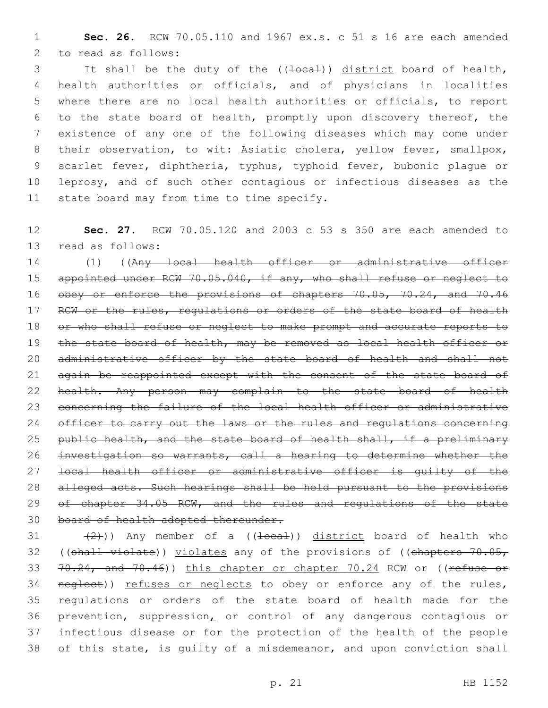1 **Sec. 26.** RCW 70.05.110 and 1967 ex.s. c 51 s 16 are each amended 2 to read as follows:

3 It shall be the duty of the ((<del>local</del>)) district board of health, health authorities or officials, and of physicians in localities where there are no local health authorities or officials, to report to the state board of health, promptly upon discovery thereof, the existence of any one of the following diseases which may come under their observation, to wit: Asiatic cholera, yellow fever, smallpox, scarlet fever, diphtheria, typhus, typhoid fever, bubonic plague or leprosy, and of such other contagious or infectious diseases as the 11 state board may from time to time specify.

12 **Sec. 27.** RCW 70.05.120 and 2003 c 53 s 350 are each amended to 13 read as follows:

14 (1) ((Any local health officer or administrative officer 15 appointed under RCW 70.05.040, if any, who shall refuse or neglect to 16 obey or enforce the provisions of chapters 70.05, 70.24, and 70.46 17 RCW or the rules, regulations or orders of the state board of health 18 or who shall refuse or neglect to make prompt and accurate reports to 19 the state board of health, may be removed as local health officer or 20 administrative officer by the state board of health and shall not 21 again be reappointed except with the consent of the state board of 22 health. Any person may complain to the state board of health 23 concerning the failure of the local health officer or administrative 24 officer to carry out the laws or the rules and regulations concerning 25 public health, and the state board of health shall, if a preliminary 26 investigation so warrants, call a hearing to determine whether the 27 local health officer or administrative officer is guilty of the 28 alleged acts. Such hearings shall be held pursuant to the provisions 29 of chapter 34.05 RCW, and the rules and regulations of the state 30 board of health adopted thereunder.

31  $(2)$ )) Any member of a  $((\text{local}))$  district board of health who 32 ((shall violate)) violates any of the provisions of ((chapters  $70.05<sub>r</sub>$ 33 70.24, and 70.46)) this chapter or chapter 70.24 RCW or ((refuse or 34 neglect)) refuses or neglects to obey or enforce any of the rules, 35 regulations or orders of the state board of health made for the 36 prevention, suppression, or control of any dangerous contagious or 37 infectious disease or for the protection of the health of the people 38 of this state, is guilty of a misdemeanor, and upon conviction shall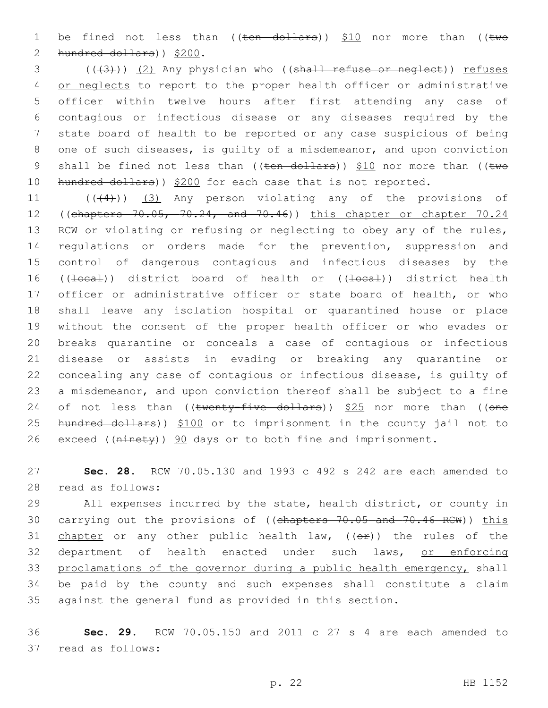1 be fined not less than  $((ten-dollars))$  \$10 nor more than  $((two$ 2 hundred dollars)) \$200.

3 (((3)) (2) Any physician who ((shall refuse or neglect)) refuses 4 or neglects to report to the proper health officer or administrative 5 officer within twelve hours after first attending any case of 6 contagious or infectious disease or any diseases required by the 7 state board of health to be reported or any case suspicious of being 8 one of such diseases, is guilty of a misdemeanor, and upon conviction 9 shall be fined not less than (( $t$ en dollars))  $$10$  nor more than (( $t$ wo 10 hundred dollars)) \$200 for each case that is not reported.

 $((44))$   $(3)$  Any person violating any of the provisions of 12 ((chapters 70.05, 70.24, and 70.46)) this chapter or chapter 70.24 RCW or violating or refusing or neglecting to obey any of the rules, regulations or orders made for the prevention, suppression and control of dangerous contagious and infectious diseases by the 16 ((local)) district board of health or ((local)) district health officer or administrative officer or state board of health, or who shall leave any isolation hospital or quarantined house or place without the consent of the proper health officer or who evades or breaks quarantine or conceals a case of contagious or infectious disease or assists in evading or breaking any quarantine or concealing any case of contagious or infectious disease, is guilty of a misdemeanor, and upon conviction thereof shall be subject to a fine 24 of not less than  $((\text{twenty-five-dollars}))$  \$25 nor more than  $((\text{one}$ 25 hundred dollars)) \$100 or to imprisonment in the county jail not to 26 exceed ( $(n\text{int}+y)$ ) 90 days or to both fine and imprisonment.

27 **Sec. 28.** RCW 70.05.130 and 1993 c 492 s 242 are each amended to read as follows:28

29 All expenses incurred by the state, health district, or county in 30 carrying out the provisions of ((chapters 70.05 and 70.46 RCW)) this 31 chapter or any other public health law,  $((eF))$  the rules of the 32 department of health enacted under such laws, or enforcing 33 proclamations of the governor during a public health emergency, shall 34 be paid by the county and such expenses shall constitute a claim 35 against the general fund as provided in this section.

36 **Sec. 29.** RCW 70.05.150 and 2011 c 27 s 4 are each amended to 37 read as follows: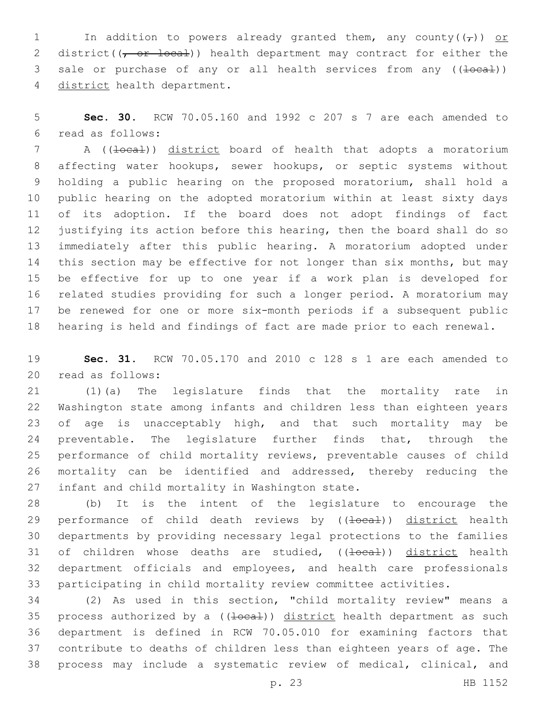1 In addition to powers already granted them, any county( $(\tau)$ ) or 2 district( $(\tau$  or local)) health department may contract for either the 3 sale or purchase of any or all health services from any ((local)) 4 district health department.

 **Sec. 30.** RCW 70.05.160 and 1992 c 207 s 7 are each amended to read as follows:6

7 A ((local)) district board of health that adopts a moratorium affecting water hookups, sewer hookups, or septic systems without holding a public hearing on the proposed moratorium, shall hold a public hearing on the adopted moratorium within at least sixty days of its adoption. If the board does not adopt findings of fact justifying its action before this hearing, then the board shall do so immediately after this public hearing. A moratorium adopted under this section may be effective for not longer than six months, but may be effective for up to one year if a work plan is developed for related studies providing for such a longer period. A moratorium may be renewed for one or more six-month periods if a subsequent public hearing is held and findings of fact are made prior to each renewal.

 **Sec. 31.** RCW 70.05.170 and 2010 c 128 s 1 are each amended to read as follows:20

 (1)(a) The legislature finds that the mortality rate in Washington state among infants and children less than eighteen years 23 of age is unacceptably high, and that such mortality may be preventable. The legislature further finds that, through the performance of child mortality reviews, preventable causes of child mortality can be identified and addressed, thereby reducing the 27 infant and child mortality in Washington state.

 (b) It is the intent of the legislature to encourage the 29 performance of child death reviews by ((<del>local</del>)) district health departments by providing necessary legal protections to the families 31 of children whose deaths are studied, ((<del>local</del>)) district health department officials and employees, and health care professionals participating in child mortality review committee activities.

 (2) As used in this section, "child mortality review" means a 35 process authorized by a  $((\text{1}oca1))$  district health department as such department is defined in RCW 70.05.010 for examining factors that contribute to deaths of children less than eighteen years of age. The process may include a systematic review of medical, clinical, and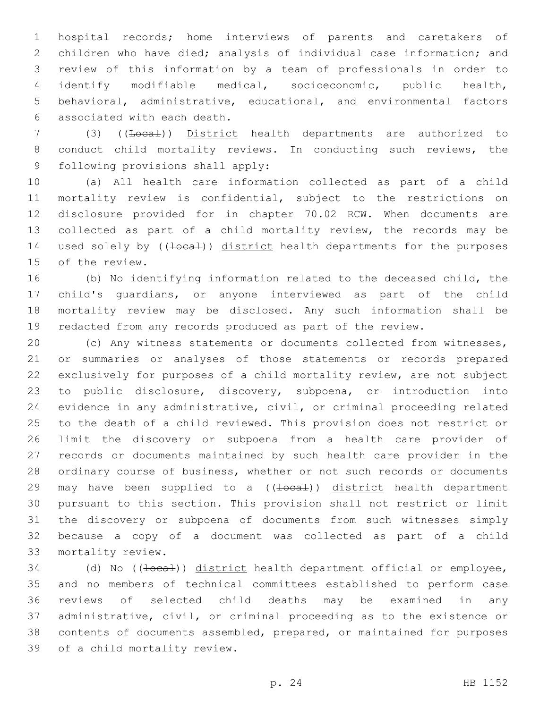hospital records; home interviews of parents and caretakers of children who have died; analysis of individual case information; and review of this information by a team of professionals in order to identify modifiable medical, socioeconomic, public health, behavioral, administrative, educational, and environmental factors associated with each death.6

7 (3) ((Local)) District health departments are authorized to conduct child mortality reviews. In conducting such reviews, the 9 following provisions shall apply:

 (a) All health care information collected as part of a child mortality review is confidential, subject to the restrictions on disclosure provided for in chapter 70.02 RCW. When documents are collected as part of a child mortality review, the records may be 14 used solely by ((<del>local</del>)) district health departments for the purposes 15 of the review.

 (b) No identifying information related to the deceased child, the child's guardians, or anyone interviewed as part of the child mortality review may be disclosed. Any such information shall be redacted from any records produced as part of the review.

 (c) Any witness statements or documents collected from witnesses, or summaries or analyses of those statements or records prepared exclusively for purposes of a child mortality review, are not subject to public disclosure, discovery, subpoena, or introduction into evidence in any administrative, civil, or criminal proceeding related to the death of a child reviewed. This provision does not restrict or limit the discovery or subpoena from a health care provider of records or documents maintained by such health care provider in the ordinary course of business, whether or not such records or documents 29 may have been supplied to a  $((\pm \text{ocal}))$  district health department pursuant to this section. This provision shall not restrict or limit the discovery or subpoena of documents from such witnesses simply because a copy of a document was collected as part of a child mortality review.33

34 (d) No ((<del>local</del>)) district health department official or employee, and no members of technical committees established to perform case reviews of selected child deaths may be examined in any administrative, civil, or criminal proceeding as to the existence or contents of documents assembled, prepared, or maintained for purposes 39 of a child mortality review.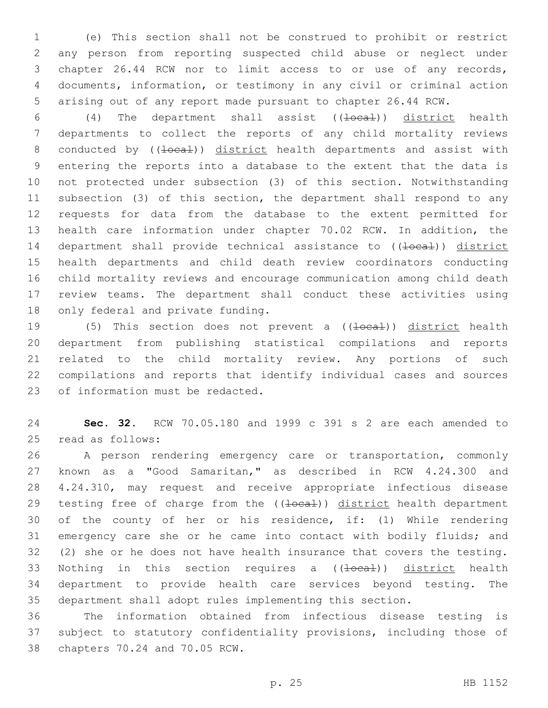(e) This section shall not be construed to prohibit or restrict any person from reporting suspected child abuse or neglect under chapter 26.44 RCW nor to limit access to or use of any records, documents, information, or testimony in any civil or criminal action arising out of any report made pursuant to chapter 26.44 RCW.

6 (4) The department shall assist ((<del>local</del>)) district health departments to collect the reports of any child mortality reviews 8 conducted by ((<del>local</del>)) district health departments and assist with entering the reports into a database to the extent that the data is not protected under subsection (3) of this section. Notwithstanding subsection (3) of this section, the department shall respond to any requests for data from the database to the extent permitted for health care information under chapter 70.02 RCW. In addition, the 14 department shall provide technical assistance to ((local)) district health departments and child death review coordinators conducting child mortality reviews and encourage communication among child death review teams. The department shall conduct these activities using 18 only federal and private funding.

19 (5) This section does not prevent a ((<del>local</del>)) district health department from publishing statistical compilations and reports related to the child mortality review. Any portions of such compilations and reports that identify individual cases and sources 23 of information must be redacted.

 **Sec. 32.** RCW 70.05.180 and 1999 c 391 s 2 are each amended to 25 read as follows:

 A person rendering emergency care or transportation, commonly known as a "Good Samaritan," as described in RCW 4.24.300 and 4.24.310, may request and receive appropriate infectious disease 29 testing free of charge from the ((local)) district health department of the county of her or his residence, if: (1) While rendering 31 emergency care she or he came into contact with bodily fluids; and (2) she or he does not have health insurance that covers the testing. 33 Nothing in this section requires a ((local)) district health department to provide health care services beyond testing. The department shall adopt rules implementing this section.

 The information obtained from infectious disease testing is subject to statutory confidentiality provisions, including those of 38 chapters 70.24 and 70.05 RCW.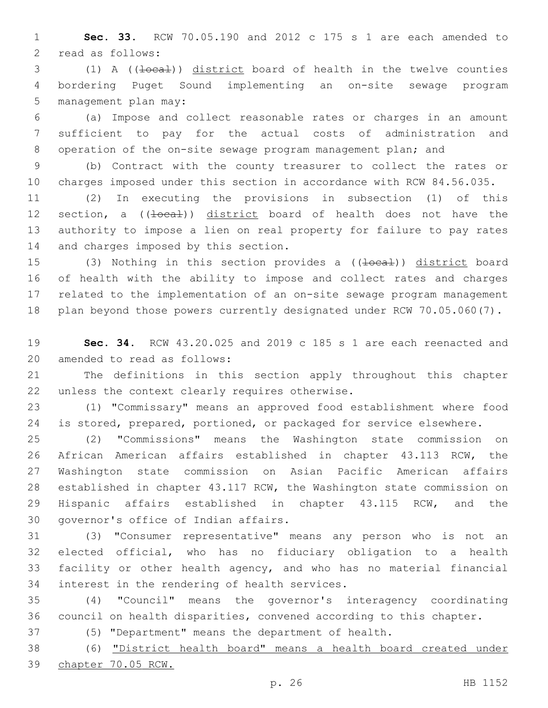**Sec. 33.** RCW 70.05.190 and 2012 c 175 s 1 are each amended to 2 read as follows:

3 (1) A (( $\frac{1}{\text{decat}}$ )) district board of health in the twelve counties bordering Puget Sound implementing an on-site sewage program 5 management plan may:

 (a) Impose and collect reasonable rates or charges in an amount sufficient to pay for the actual costs of administration and operation of the on-site sewage program management plan; and

 (b) Contract with the county treasurer to collect the rates or charges imposed under this section in accordance with RCW 84.56.035.

 (2) In executing the provisions in subsection (1) of this 12 section, a ((local)) district board of health does not have the authority to impose a lien on real property for failure to pay rates 14 and charges imposed by this section.

15 (3) Nothing in this section provides a ((<del>local</del>)) district board of health with the ability to impose and collect rates and charges related to the implementation of an on-site sewage program management 18 plan beyond those powers currently designated under RCW 70.05.060(7).

 **Sec. 34.** RCW 43.20.025 and 2019 c 185 s 1 are each reenacted and 20 amended to read as follows:

 The definitions in this section apply throughout this chapter 22 unless the context clearly requires otherwise.

 (1) "Commissary" means an approved food establishment where food 24 is stored, prepared, portioned, or packaged for service elsewhere.

 (2) "Commissions" means the Washington state commission on African American affairs established in chapter 43.113 RCW, the Washington state commission on Asian Pacific American affairs established in chapter 43.117 RCW, the Washington state commission on Hispanic affairs established in chapter 43.115 RCW, and the 30 governor's office of Indian affairs.

 (3) "Consumer representative" means any person who is not an elected official, who has no fiduciary obligation to a health facility or other health agency, and who has no material financial 34 interest in the rendering of health services.

 (4) "Council" means the governor's interagency coordinating council on health disparities, convened according to this chapter.

(5) "Department" means the department of health.

 (6) "District health board" means a health board created under chapter 70.05 RCW.

p. 26 HB 1152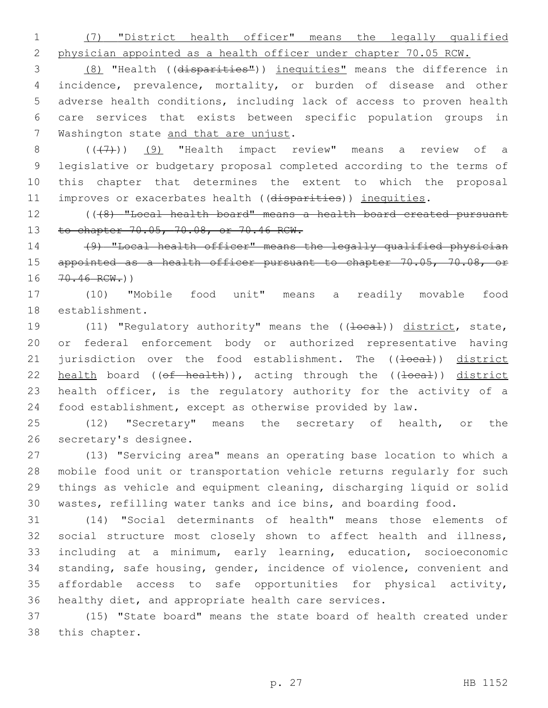(7) "District health officer" means the legally qualified

physician appointed as a health officer under chapter 70.05 RCW.

 (8) "Health ((disparities")) inequities" means the difference in incidence, prevalence, mortality, or burden of disease and other adverse health conditions, including lack of access to proven health care services that exists between specific population groups in 7 Washington state and that are unjust.

 $((+7)$ ) (9) "Health impact review" means a review of a legislative or budgetary proposal completed according to the terms of this chapter that determines the extent to which the proposal 11 improves or exacerbates health ((disparities)) inequities.

 (((8) "Local health board" means a health board created pursuant 13 to chapter 70.05, 70.08, or 70.46 RCW.

 (9) "Local health officer" means the legally qualified physician 15 appointed as a health officer pursuant to chapter 70.05, 70.08, or 16 70.46 RCW.))

 (10) "Mobile food unit" means a readily movable food 18 establishment.

19 (11) "Regulatory authority" means the ((<del>local</del>)) district, state, or federal enforcement body or authorized representative having 21 jurisdiction over the food establishment. The ((<del>local</del>)) district 22 health board  $((\theta f - \theta) h)$ , acting through the  $((\theta f - \theta) h)$  district health officer, is the regulatory authority for the activity of a food establishment, except as otherwise provided by law.

 (12) "Secretary" means the secretary of health, or the 26 secretary's designee.

 (13) "Servicing area" means an operating base location to which a mobile food unit or transportation vehicle returns regularly for such things as vehicle and equipment cleaning, discharging liquid or solid wastes, refilling water tanks and ice bins, and boarding food.

 (14) "Social determinants of health" means those elements of social structure most closely shown to affect health and illness, including at a minimum, early learning, education, socioeconomic standing, safe housing, gender, incidence of violence, convenient and affordable access to safe opportunities for physical activity, healthy diet, and appropriate health care services.

 (15) "State board" means the state board of health created under 38 this chapter.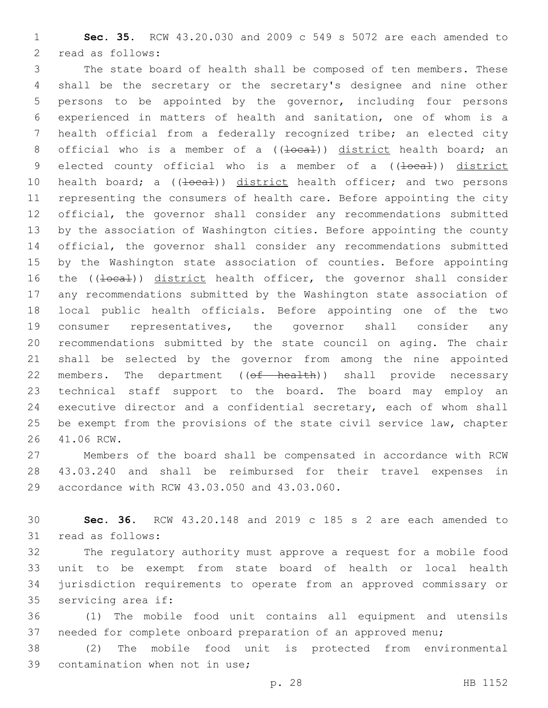**Sec. 35.** RCW 43.20.030 and 2009 c 549 s 5072 are each amended to 2 read as follows:

 The state board of health shall be composed of ten members. These shall be the secretary or the secretary's designee and nine other persons to be appointed by the governor, including four persons experienced in matters of health and sanitation, one of whom is a health official from a federally recognized tribe; an elected city 8 official who is a member of a ((<del>local</del>)) district health board; an 9 elected county official who is a member of a ((<del>local</del>)) district 10 health board; a ((+oca+)) district health officer; and two persons representing the consumers of health care. Before appointing the city official, the governor shall consider any recommendations submitted by the association of Washington cities. Before appointing the county official, the governor shall consider any recommendations submitted by the Washington state association of counties. Before appointing 16 the ((<del>local</del>)) district health officer, the governor shall consider any recommendations submitted by the Washington state association of local public health officials. Before appointing one of the two consumer representatives, the governor shall consider any recommendations submitted by the state council on aging. The chair shall be selected by the governor from among the nine appointed 22 members. The department ((of health)) shall provide necessary technical staff support to the board. The board may employ an executive director and a confidential secretary, each of whom shall be exempt from the provisions of the state civil service law, chapter 26 41.06 RCW.

 Members of the board shall be compensated in accordance with RCW 43.03.240 and shall be reimbursed for their travel expenses in 29 accordance with RCW 43.03.050 and 43.03.060.

 **Sec. 36.** RCW 43.20.148 and 2019 c 185 s 2 are each amended to 31 read as follows:

 The regulatory authority must approve a request for a mobile food unit to be exempt from state board of health or local health jurisdiction requirements to operate from an approved commissary or 35 servicing area if:

 (1) The mobile food unit contains all equipment and utensils needed for complete onboard preparation of an approved menu;

 (2) The mobile food unit is protected from environmental 39 contamination when not in use;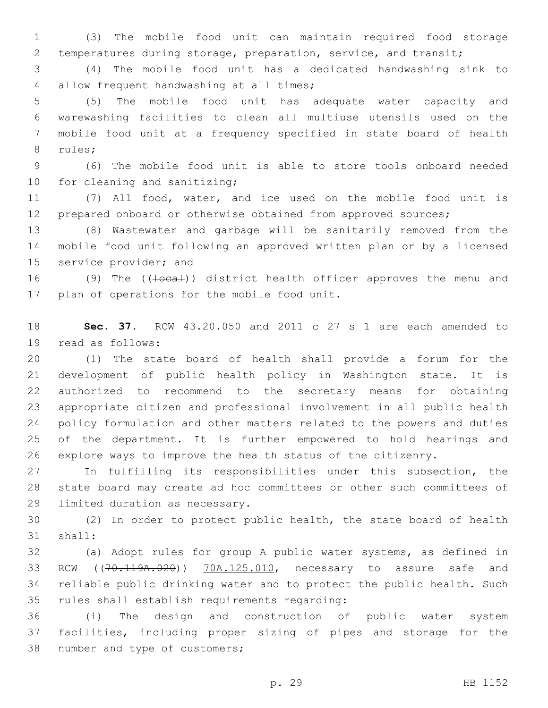(3) The mobile food unit can maintain required food storage temperatures during storage, preparation, service, and transit;

 (4) The mobile food unit has a dedicated handwashing sink to 4 allow frequent handwashing at all times;

 (5) The mobile food unit has adequate water capacity and warewashing facilities to clean all multiuse utensils used on the mobile food unit at a frequency specified in state board of health 8 rules;

 (6) The mobile food unit is able to store tools onboard needed 10 for cleaning and sanitizing;

 (7) All food, water, and ice used on the mobile food unit is prepared onboard or otherwise obtained from approved sources;

 (8) Wastewater and garbage will be sanitarily removed from the mobile food unit following an approved written plan or by a licensed 15 service provider; and

16 (9) The ((<del>local</del>)) district health officer approves the menu and 17 plan of operations for the mobile food unit.

 **Sec. 37.** RCW 43.20.050 and 2011 c 27 s 1 are each amended to 19 read as follows:

 (1) The state board of health shall provide a forum for the development of public health policy in Washington state. It is authorized to recommend to the secretary means for obtaining appropriate citizen and professional involvement in all public health policy formulation and other matters related to the powers and duties of the department. It is further empowered to hold hearings and explore ways to improve the health status of the citizenry.

 In fulfilling its responsibilities under this subsection, the state board may create ad hoc committees or other such committees of 29 limited duration as necessary.

 (2) In order to protect public health, the state board of health 31 shall:

 (a) Adopt rules for group A public water systems, as defined in 33 RCW ((70.119A.020)) 70A.125.010, necessary to assure safe and reliable public drinking water and to protect the public health. Such 35 rules shall establish requirements regarding:

 (i) The design and construction of public water system facilities, including proper sizing of pipes and storage for the 38 number and type of customers;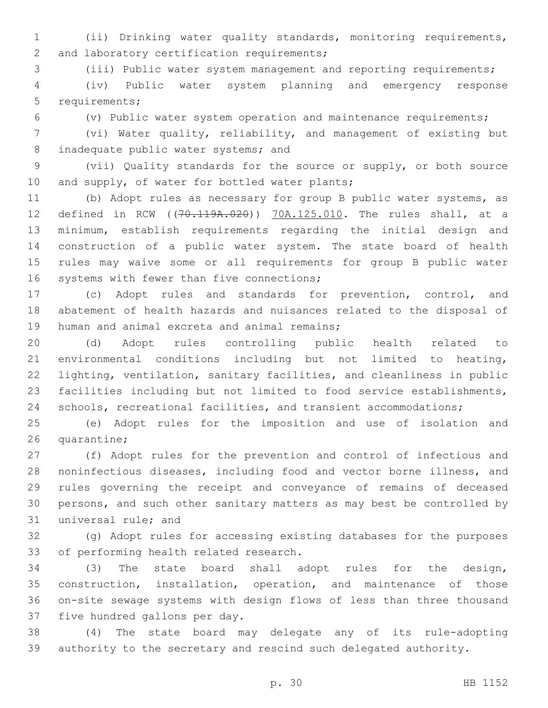(ii) Drinking water quality standards, monitoring requirements, 2 and laboratory certification requirements;

(iii) Public water system management and reporting requirements;

 (iv) Public water system planning and emergency response 5 requirements;

(v) Public water system operation and maintenance requirements;

 (vi) Water quality, reliability, and management of existing but 8 inadequate public water systems; and

 (vii) Quality standards for the source or supply, or both source 10 and supply, of water for bottled water plants;

 (b) Adopt rules as necessary for group B public water systems, as defined in RCW ((70.119A.020)) 70A.125.010. The rules shall, at a minimum, establish requirements regarding the initial design and construction of a public water system. The state board of health rules may waive some or all requirements for group B public water 16 systems with fewer than five connections;

 (c) Adopt rules and standards for prevention, control, and abatement of health hazards and nuisances related to the disposal of 19 human and animal excreta and animal remains;

 (d) Adopt rules controlling public health related to environmental conditions including but not limited to heating, lighting, ventilation, sanitary facilities, and cleanliness in public facilities including but not limited to food service establishments, schools, recreational facilities, and transient accommodations;

 (e) Adopt rules for the imposition and use of isolation and 26 quarantine;

 (f) Adopt rules for the prevention and control of infectious and noninfectious diseases, including food and vector borne illness, and rules governing the receipt and conveyance of remains of deceased persons, and such other sanitary matters as may best be controlled by 31 universal rule; and

 (g) Adopt rules for accessing existing databases for the purposes 33 of performing health related research.

 (3) The state board shall adopt rules for the design, construction, installation, operation, and maintenance of those on-site sewage systems with design flows of less than three thousand 37 five hundred gallons per day.

 (4) The state board may delegate any of its rule-adopting authority to the secretary and rescind such delegated authority.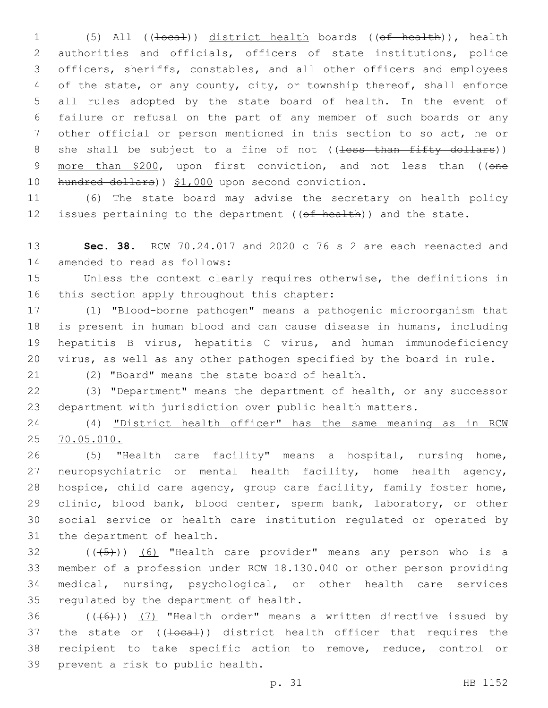1 (5) All ((<del>local</del>)) district health boards ((<del>of health</del>)), health authorities and officials, officers of state institutions, police officers, sheriffs, constables, and all other officers and employees of the state, or any county, city, or township thereof, shall enforce all rules adopted by the state board of health. In the event of failure or refusal on the part of any member of such boards or any other official or person mentioned in this section to so act, he or 8 she shall be subject to a fine of not ((less than fifty dollars)) 9 more than \$200, upon first conviction, and not less than ((one 10 hundred dollars)) \$1,000 upon second conviction.

 (6) The state board may advise the secretary on health policy 12 issues pertaining to the department  $((of heatth))$  and the state.

 **Sec. 38.** RCW 70.24.017 and 2020 c 76 s 2 are each reenacted and 14 amended to read as follows:

 Unless the context clearly requires otherwise, the definitions in 16 this section apply throughout this chapter:

 (1) "Blood-borne pathogen" means a pathogenic microorganism that is present in human blood and can cause disease in humans, including hepatitis B virus, hepatitis C virus, and human immunodeficiency virus, as well as any other pathogen specified by the board in rule.

21 (2) "Board" means the state board of health.

 (3) "Department" means the department of health, or any successor department with jurisdiction over public health matters.

 (4) "District health officer" has the same meaning as in RCW 70.05.010.

 (5) "Health care facility" means a hospital, nursing home, neuropsychiatric or mental health facility, home health agency, hospice, child care agency, group care facility, family foster home, 29 clinic, blood bank, blood center, sperm bank, laboratory, or other social service or health care institution regulated or operated by 31 the department of health.

 ( $(\overline{5})$ ) (6) "Health care provider" means any person who is a member of a profession under RCW 18.130.040 or other person providing medical, nursing, psychological, or other health care services 35 regulated by the department of health.

36  $((+6+))$  (7) "Health order" means a written directive issued by 37 the state or ((10ca1)) district health officer that requires the recipient to take specific action to remove, reduce, control or 39 prevent a risk to public health.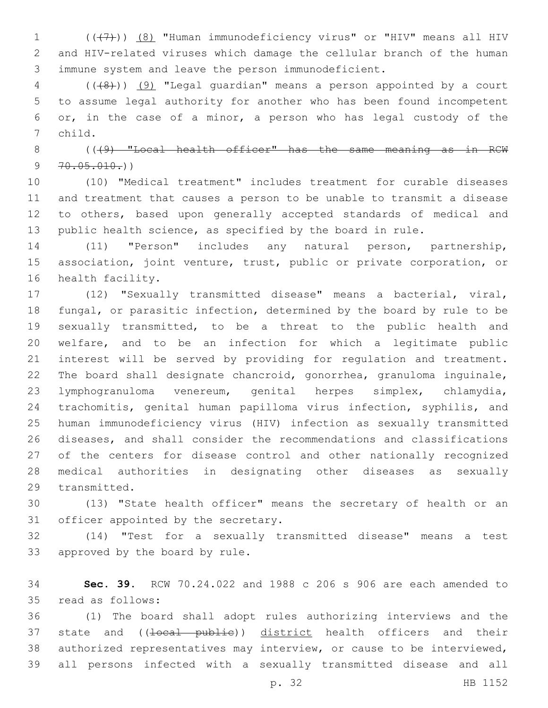1  $((+7)$ )  $(8)$  "Human immunodeficiency virus" or "HIV" means all HIV and HIV-related viruses which damage the cellular branch of the human immune system and leave the person immunodeficient.

 (((8))) (9) "Legal guardian" means a person appointed by a court to assume legal authority for another who has been found incompetent or, in the case of a minor, a person who has legal custody of the 7 child.

8 (((9) "Local health officer" has the same meaning as in RCW  $9 \quad 70.05.010.)$ 

 (10) "Medical treatment" includes treatment for curable diseases and treatment that causes a person to be unable to transmit a disease to others, based upon generally accepted standards of medical and public health science, as specified by the board in rule.

 (11) "Person" includes any natural person, partnership, association, joint venture, trust, public or private corporation, or 16 health facility.

 (12) "Sexually transmitted disease" means a bacterial, viral, fungal, or parasitic infection, determined by the board by rule to be sexually transmitted, to be a threat to the public health and welfare, and to be an infection for which a legitimate public interest will be served by providing for regulation and treatment. The board shall designate chancroid, gonorrhea, granuloma inguinale, lymphogranuloma venereum, genital herpes simplex, chlamydia, trachomitis, genital human papilloma virus infection, syphilis, and human immunodeficiency virus (HIV) infection as sexually transmitted diseases, and shall consider the recommendations and classifications of the centers for disease control and other nationally recognized medical authorities in designating other diseases as sexually 29 transmitted.

 (13) "State health officer" means the secretary of health or an 31 officer appointed by the secretary.

 (14) "Test for a sexually transmitted disease" means a test 33 approved by the board by rule.

 **Sec. 39.** RCW 70.24.022 and 1988 c 206 s 906 are each amended to 35 read as follows:

 (1) The board shall adopt rules authorizing interviews and the 37 state and ((10cal publie)) district health officers and their authorized representatives may interview, or cause to be interviewed, all persons infected with a sexually transmitted disease and all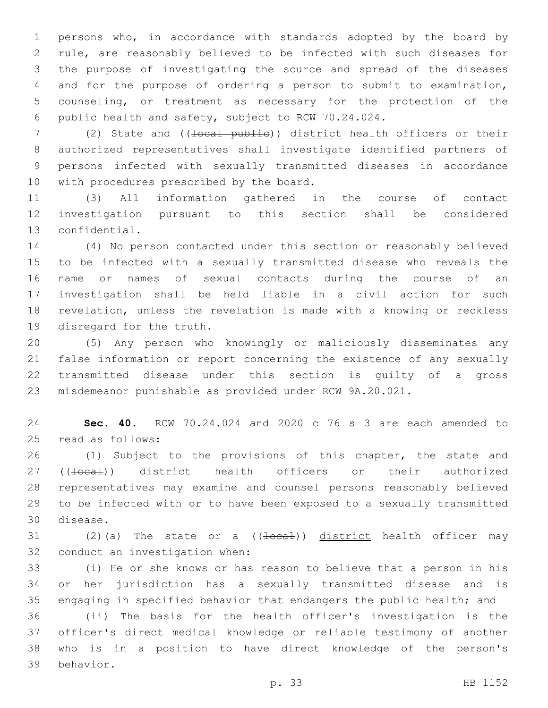persons who, in accordance with standards adopted by the board by rule, are reasonably believed to be infected with such diseases for the purpose of investigating the source and spread of the diseases and for the purpose of ordering a person to submit to examination, counseling, or treatment as necessary for the protection of the public health and safety, subject to RCW 70.24.024.

7 (2) State and ((<del>local public</del>)) district health officers or their authorized representatives shall investigate identified partners of persons infected with sexually transmitted diseases in accordance 10 with procedures prescribed by the board.

 (3) All information gathered in the course of contact investigation pursuant to this section shall be considered 13 confidential.

 (4) No person contacted under this section or reasonably believed to be infected with a sexually transmitted disease who reveals the name or names of sexual contacts during the course of an investigation shall be held liable in a civil action for such revelation, unless the revelation is made with a knowing or reckless 19 disregard for the truth.

 (5) Any person who knowingly or maliciously disseminates any false information or report concerning the existence of any sexually transmitted disease under this section is guilty of a gross misdemeanor punishable as provided under RCW 9A.20.021.

 **Sec. 40.** RCW 70.24.024 and 2020 c 76 s 3 are each amended to 25 read as follows:

 (1) Subject to the provisions of this chapter, the state and 27 ((<del>local</del>)) district health officers or their authorized representatives may examine and counsel persons reasonably believed to be infected with or to have been exposed to a sexually transmitted 30 disease.

31 (2)(a) The state or a  $((\text{local}))$  district health officer may 32 conduct an investigation when:

 (i) He or she knows or has reason to believe that a person in his or her jurisdiction has a sexually transmitted disease and is engaging in specified behavior that endangers the public health; and (ii) The basis for the health officer's investigation is the officer's direct medical knowledge or reliable testimony of another who is in a position to have direct knowledge of the person's 39 behavior.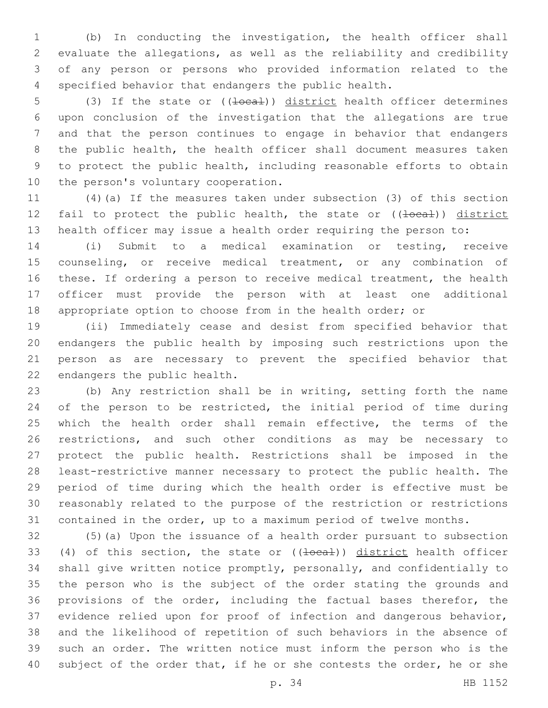(b) In conducting the investigation, the health officer shall evaluate the allegations, as well as the reliability and credibility of any person or persons who provided information related to the specified behavior that endangers the public health.

5 (3) If the state or ((<del>local</del>)) district health officer determines upon conclusion of the investigation that the allegations are true and that the person continues to engage in behavior that endangers the public health, the health officer shall document measures taken to protect the public health, including reasonable efforts to obtain 10 the person's voluntary cooperation.

 (4)(a) If the measures taken under subsection (3) of this section 12 fail to protect the public health, the state or ((local)) district health officer may issue a health order requiring the person to:

 (i) Submit to a medical examination or testing, receive counseling, or receive medical treatment, or any combination of these. If ordering a person to receive medical treatment, the health officer must provide the person with at least one additional appropriate option to choose from in the health order; or

 (ii) Immediately cease and desist from specified behavior that endangers the public health by imposing such restrictions upon the person as are necessary to prevent the specified behavior that 22 endangers the public health.

 (b) Any restriction shall be in writing, setting forth the name 24 of the person to be restricted, the initial period of time during which the health order shall remain effective, the terms of the restrictions, and such other conditions as may be necessary to protect the public health. Restrictions shall be imposed in the least-restrictive manner necessary to protect the public health. The period of time during which the health order is effective must be reasonably related to the purpose of the restriction or restrictions contained in the order, up to a maximum period of twelve months.

 (5)(a) Upon the issuance of a health order pursuant to subsection 33 (4) of this section, the state or  $((\text{1}oca\text{1}))$  district health officer shall give written notice promptly, personally, and confidentially to the person who is the subject of the order stating the grounds and provisions of the order, including the factual bases therefor, the evidence relied upon for proof of infection and dangerous behavior, and the likelihood of repetition of such behaviors in the absence of such an order. The written notice must inform the person who is the 40 subject of the order that, if he or she contests the order, he or she

p. 34 HB 1152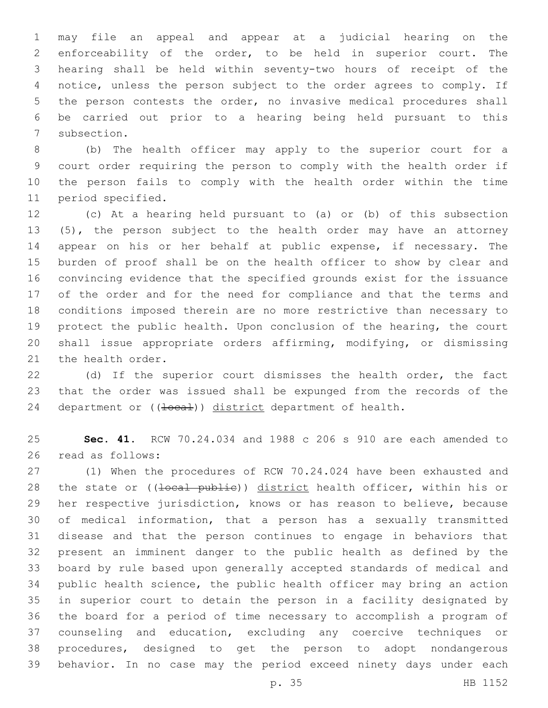may file an appeal and appear at a judicial hearing on the enforceability of the order, to be held in superior court. The hearing shall be held within seventy-two hours of receipt of the notice, unless the person subject to the order agrees to comply. If the person contests the order, no invasive medical procedures shall be carried out prior to a hearing being held pursuant to this 7 subsection.

 (b) The health officer may apply to the superior court for a court order requiring the person to comply with the health order if the person fails to comply with the health order within the time 11 period specified.

 (c) At a hearing held pursuant to (a) or (b) of this subsection (5), the person subject to the health order may have an attorney appear on his or her behalf at public expense, if necessary. The burden of proof shall be on the health officer to show by clear and convincing evidence that the specified grounds exist for the issuance of the order and for the need for compliance and that the terms and conditions imposed therein are no more restrictive than necessary to protect the public health. Upon conclusion of the hearing, the court shall issue appropriate orders affirming, modifying, or dismissing 21 the health order.

 (d) If the superior court dismisses the health order, the fact that the order was issued shall be expunged from the records of the 24 department or ((local)) district department of health.

 **Sec. 41.** RCW 70.24.034 and 1988 c 206 s 910 are each amended to 26 read as follows:

 (1) When the procedures of RCW 70.24.024 have been exhausted and 28 the state or ((10cal publie)) district health officer, within his or her respective jurisdiction, knows or has reason to believe, because of medical information, that a person has a sexually transmitted disease and that the person continues to engage in behaviors that present an imminent danger to the public health as defined by the board by rule based upon generally accepted standards of medical and public health science, the public health officer may bring an action in superior court to detain the person in a facility designated by the board for a period of time necessary to accomplish a program of counseling and education, excluding any coercive techniques or procedures, designed to get the person to adopt nondangerous behavior. In no case may the period exceed ninety days under each

p. 35 HB 1152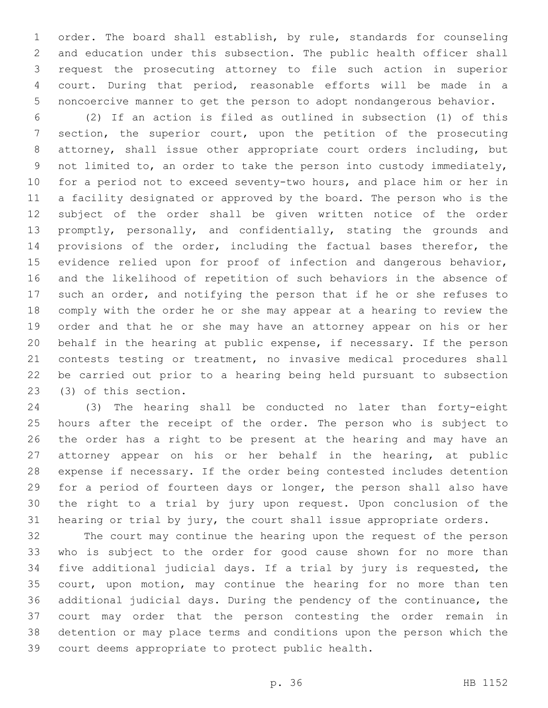order. The board shall establish, by rule, standards for counseling and education under this subsection. The public health officer shall request the prosecuting attorney to file such action in superior court. During that period, reasonable efforts will be made in a noncoercive manner to get the person to adopt nondangerous behavior.

 (2) If an action is filed as outlined in subsection (1) of this section, the superior court, upon the petition of the prosecuting attorney, shall issue other appropriate court orders including, but not limited to, an order to take the person into custody immediately, for a period not to exceed seventy-two hours, and place him or her in a facility designated or approved by the board. The person who is the subject of the order shall be given written notice of the order promptly, personally, and confidentially, stating the grounds and provisions of the order, including the factual bases therefor, the evidence relied upon for proof of infection and dangerous behavior, and the likelihood of repetition of such behaviors in the absence of such an order, and notifying the person that if he or she refuses to comply with the order he or she may appear at a hearing to review the order and that he or she may have an attorney appear on his or her behalf in the hearing at public expense, if necessary. If the person contests testing or treatment, no invasive medical procedures shall be carried out prior to a hearing being held pursuant to subsection 23 (3) of this section.

 (3) The hearing shall be conducted no later than forty-eight hours after the receipt of the order. The person who is subject to the order has a right to be present at the hearing and may have an attorney appear on his or her behalf in the hearing, at public expense if necessary. If the order being contested includes detention for a period of fourteen days or longer, the person shall also have the right to a trial by jury upon request. Upon conclusion of the hearing or trial by jury, the court shall issue appropriate orders.

 The court may continue the hearing upon the request of the person who is subject to the order for good cause shown for no more than five additional judicial days. If a trial by jury is requested, the court, upon motion, may continue the hearing for no more than ten additional judicial days. During the pendency of the continuance, the court may order that the person contesting the order remain in detention or may place terms and conditions upon the person which the 39 court deems appropriate to protect public health.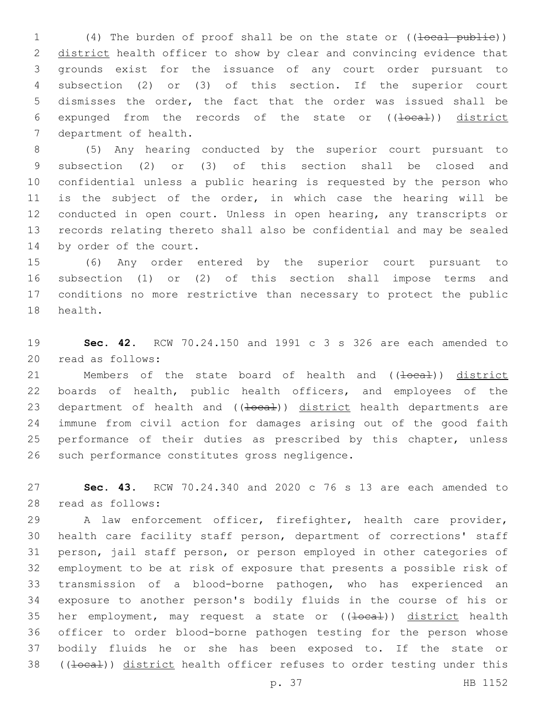1 (4) The burden of proof shall be on the state or ((<del>local public</del>)) 2 district health officer to show by clear and convincing evidence that grounds exist for the issuance of any court order pursuant to subsection (2) or (3) of this section. If the superior court dismisses the order, the fact that the order was issued shall be 6 expunged from the records of the state or ((local)) district 7 department of health.

 (5) Any hearing conducted by the superior court pursuant to subsection (2) or (3) of this section shall be closed and confidential unless a public hearing is requested by the person who is the subject of the order, in which case the hearing will be conducted in open court. Unless in open hearing, any transcripts or records relating thereto shall also be confidential and may be sealed 14 by order of the court.

 (6) Any order entered by the superior court pursuant to subsection (1) or (2) of this section shall impose terms and conditions no more restrictive than necessary to protect the public 18 health.

 **Sec. 42.** RCW 70.24.150 and 1991 c 3 s 326 are each amended to 20 read as follows:

21 Members of the state board of health and ((<del>local</del>)) district boards of health, public health officers, and employees of the 23 department of health and ((+oca+)) district health departments are immune from civil action for damages arising out of the good faith 25 performance of their duties as prescribed by this chapter, unless 26 such performance constitutes gross negligence.

 **Sec. 43.** RCW 70.24.340 and 2020 c 76 s 13 are each amended to 28 read as follows:

 A law enforcement officer, firefighter, health care provider, health care facility staff person, department of corrections' staff person, jail staff person, or person employed in other categories of employment to be at risk of exposure that presents a possible risk of transmission of a blood-borne pathogen, who has experienced an exposure to another person's bodily fluids in the course of his or 35 her employment, may request a state or  $((\pm \text{ocal}))$  district health officer to order blood-borne pathogen testing for the person whose bodily fluids he or she has been exposed to. If the state or 38 ((<del>local</del>)) district health officer refuses to order testing under this

p. 37 HB 1152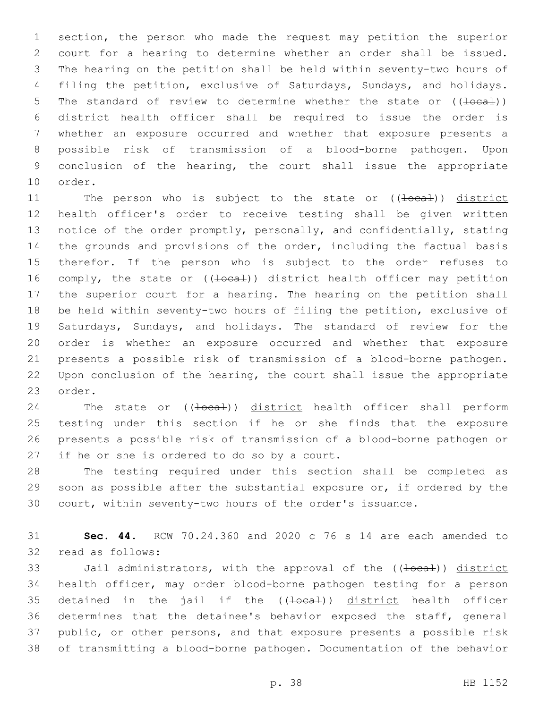section, the person who made the request may petition the superior court for a hearing to determine whether an order shall be issued. The hearing on the petition shall be held within seventy-two hours of filing the petition, exclusive of Saturdays, Sundays, and holidays. 5 The standard of review to determine whether the state or  $((\text{local}))$  district health officer shall be required to issue the order is whether an exposure occurred and whether that exposure presents a possible risk of transmission of a blood-borne pathogen. Upon conclusion of the hearing, the court shall issue the appropriate 10 order.

11 The person who is subject to the state or ((local)) district health officer's order to receive testing shall be given written notice of the order promptly, personally, and confidentially, stating the grounds and provisions of the order, including the factual basis therefor. If the person who is subject to the order refuses to 16 comply, the state or ((<del>local</del>)) district health officer may petition the superior court for a hearing. The hearing on the petition shall be held within seventy-two hours of filing the petition, exclusive of Saturdays, Sundays, and holidays. The standard of review for the order is whether an exposure occurred and whether that exposure presents a possible risk of transmission of a blood-borne pathogen. Upon conclusion of the hearing, the court shall issue the appropriate 23 order.

24 The state or ((<del>local</del>)) district health officer shall perform testing under this section if he or she finds that the exposure presents a possible risk of transmission of a blood-borne pathogen or 27 if he or she is ordered to do so by a court.

 The testing required under this section shall be completed as soon as possible after the substantial exposure or, if ordered by the court, within seventy-two hours of the order's issuance.

 **Sec. 44.** RCW 70.24.360 and 2020 c 76 s 14 are each amended to 32 read as follows:

33 Jail administrators, with the approval of the ((<del>local</del>)) district health officer, may order blood-borne pathogen testing for a person 35 detained in the jail if the ((<del>local</del>)) district health officer determines that the detainee's behavior exposed the staff, general public, or other persons, and that exposure presents a possible risk of transmitting a blood-borne pathogen. Documentation of the behavior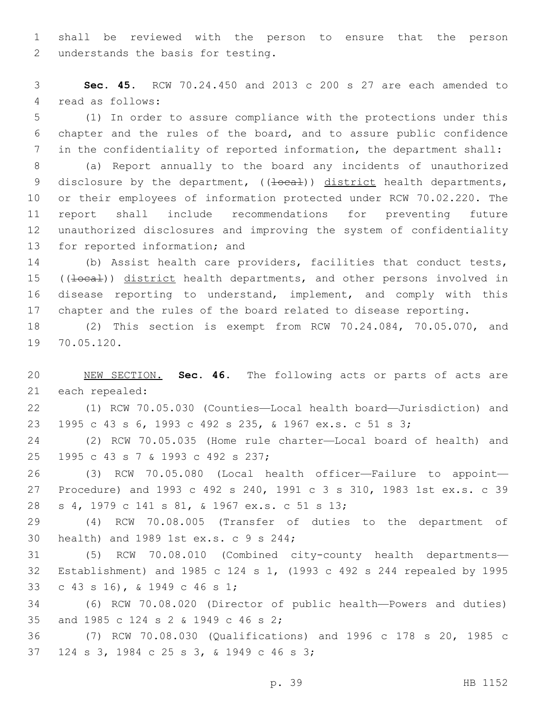shall be reviewed with the person to ensure that the person 2 understands the basis for testing.

 **Sec. 45.** RCW 70.24.450 and 2013 c 200 s 27 are each amended to 4 read as follows:

 (1) In order to assure compliance with the protections under this chapter and the rules of the board, and to assure public confidence in the confidentiality of reported information, the department shall:

 (a) Report annually to the board any incidents of unauthorized 9 disclosure by the department, ((<del>local</del>)) district health departments, or their employees of information protected under RCW 70.02.220. The report shall include recommendations for preventing future unauthorized disclosures and improving the system of confidentiality 13 for reported information; and

 (b) Assist health care providers, facilities that conduct tests, 15 ((local)) district health departments, and other persons involved in disease reporting to understand, implement, and comply with this chapter and the rules of the board related to disease reporting.

 (2) This section is exempt from RCW 70.24.084, 70.05.070, and 19 70.05.120.

 NEW SECTION. **Sec. 46.** The following acts or parts of acts are each repealed:

 (1) RCW 70.05.030 (Counties—Local health board—Jurisdiction) and 1995 c 43 s 6, 1993 c 492 s 235, & 1967 ex.s. c 51 s 3;

 (2) RCW 70.05.035 (Home rule charter—Local board of health) and 25 1995 c 43 s 7 & 1993 c 492 s 237;

 (3) RCW 70.05.080 (Local health officer—Failure to appoint— Procedure) and 1993 c 492 s 240, 1991 c 3 s 310, 1983 1st ex.s. c 39 s 4, 1979 c 141 s 81, & 1967 ex.s. c 51 s 13;28

 (4) RCW 70.08.005 (Transfer of duties to the department of 30 health) and 1989 1st ex.s. c 9 s 244;

 (5) RCW 70.08.010 (Combined city-county health departments— Establishment) and 1985 c 124 s 1, (1993 c 492 s 244 repealed by 1995 c 43 s 16), & 1949 c 46 s 1;33

 (6) RCW 70.08.020 (Director of public health—Powers and duties) 35 and 1985 c 124 s 2 & 1949 c 46 s 2;

 (7) RCW 70.08.030 (Qualifications) and 1996 c 178 s 20, 1985 c 37 124 s 3, 1984 c 25 s 3, & 1949 c 46 s 3;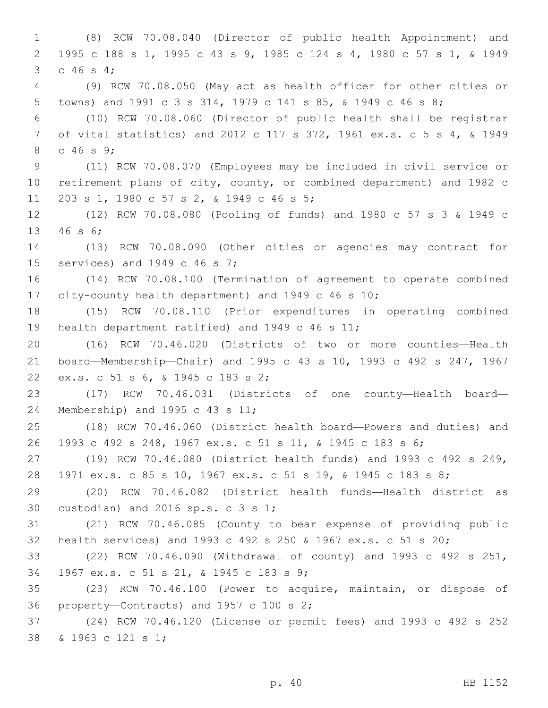(8) RCW 70.08.040 (Director of public health—Appointment) and 1995 c 188 s 1, 1995 c 43 s 9, 1985 c 124 s 4, 1980 c 57 s 1, & 1949 3 c 46 s 4; (9) RCW 70.08.050 (May act as health officer for other cities or towns) and 1991 c 3 s 314, 1979 c 141 s 85, & 1949 c 46 s 8; (10) RCW 70.08.060 (Director of public health shall be registrar of vital statistics) and 2012 c 117 s 372, 1961 ex.s. c 5 s 4, & 1949 8 c 46 s 9; (11) RCW 70.08.070 (Employees may be included in civil service or retirement plans of city, county, or combined department) and 1982 c 11 203 s 1, 1980 c 57 s 2, & 1949 c 46 s 5; (12) RCW 70.08.080 (Pooling of funds) and 1980 c 57 s 3 & 1949 c 13 46 s 6; (13) RCW 70.08.090 (Other cities or agencies may contract for 15 services) and 1949 c 46 s 7; (14) RCW 70.08.100 (Termination of agreement to operate combined city-county health department) and 1949 c 46 s 10; (15) RCW 70.08.110 (Prior expenditures in operating combined 19 health department ratified) and 1949 c 46 s 11; (16) RCW 70.46.020 (Districts of two or more counties—Health board—Membership—Chair) and 1995 c 43 s 10, 1993 c 492 s 247, 1967 22 ex.s. c 51 s 6, & 1945 c 183 s 2; (17) RCW 70.46.031 (Districts of one county—Health board— 24 Membership) and 1995 c 43 s 11; (18) RCW 70.46.060 (District health board—Powers and duties) and 1993 c 492 s 248, 1967 ex.s. c 51 s 11, & 1945 c 183 s 6; (19) RCW 70.46.080 (District health funds) and 1993 c 492 s 249, 1971 ex.s. c 85 s 10, 1967 ex.s. c 51 s 19, & 1945 c 183 s 8; (20) RCW 70.46.082 (District health funds—Health district as 30 custodian) and 2016  $sp.s. c 3 s 1;$  (21) RCW 70.46.085 (County to bear expense of providing public health services) and 1993 c 492 s 250 & 1967 ex.s. c 51 s 20; (22) RCW 70.46.090 (Withdrawal of county) and 1993 c 492 s 251, 1967 ex.s. c 51 s 21, & 1945 c 183 s 9;34 (23) RCW 70.46.100 (Power to acquire, maintain, or dispose of 36 property—Contracts) and 1957 c 100 s ; (24) RCW 70.46.120 (License or permit fees) and 1993 c 492 s 252 38 & 1963 c 121 s 1;